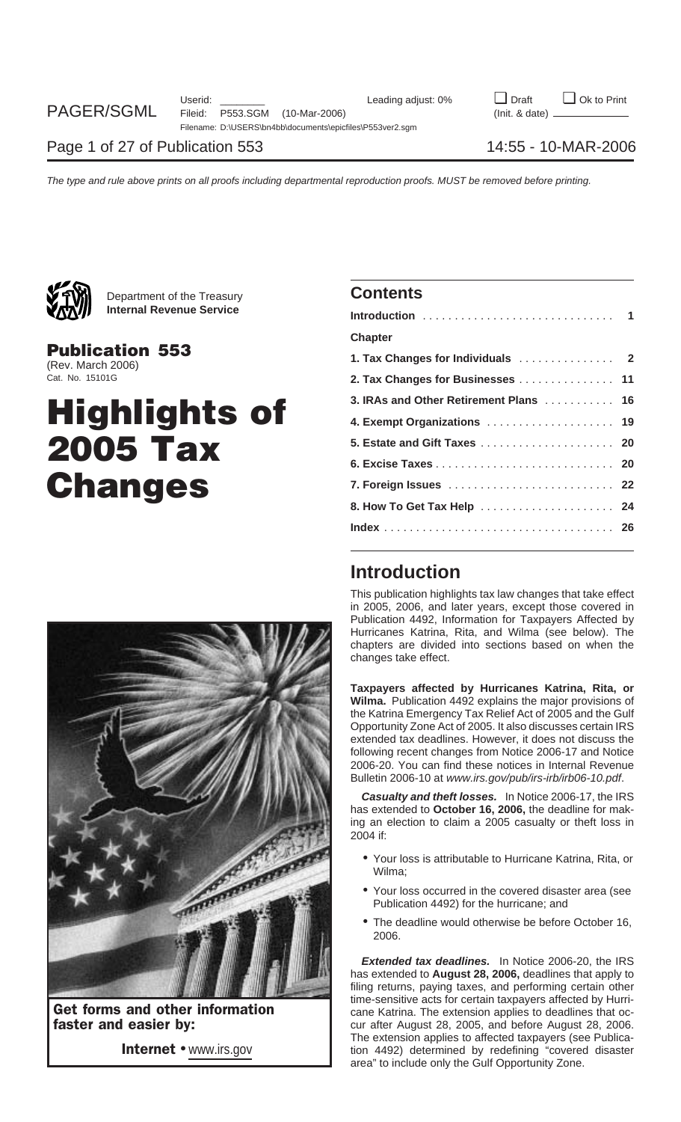

Department of the Treasury **Contents Internal Revenue Service** 

## **Highlights of 5. Estate and Gift Taxes** ..................... **<sup>20</sup> 2005 Tax 6. Excise Taxes** ............................ **<sup>20</sup>**  $$



| YA'A'/'<br><b>Internal Revenue Service</b>  |                                        |  |
|---------------------------------------------|----------------------------------------|--|
|                                             | <b>Chapter</b>                         |  |
| <b>Publication 553</b><br>(Rev. March 2006) |                                        |  |
| Cat. No. 15101G                             | 2. Tax Changes for Businesses  11      |  |
|                                             | 3. IRAs and Other Retirement Plans  16 |  |
| <b>Highlights of</b>                        | 4. Exempt Organizations  19            |  |
| <b>2005 Tax</b>                             |                                        |  |
|                                             |                                        |  |
| <b>Changes</b>                              | 7. Foreign Issues  22                  |  |
|                                             |                                        |  |
|                                             |                                        |  |
|                                             |                                        |  |

## **Introduction**

This publication highlights tax law changes that take effect in 2005, 2006, and later years, except those covered in Publication 4492, Information for Taxpayers Affected by Hurricanes Katrina, Rita, and Wilma (see below). The chapters are divided into sections based on when the changes take effect.

**Taxpayers affected by Hurricanes Katrina, Rita, or Wilma.** Publication 4492 explains the major provisions of the Katrina Emergency Tax Relief Act of 2005 and the Gulf Opportunity Zone Act of 2005. It also discusses certain IRS extended tax deadlines. However, it does not discuss the following recent changes from Notice 2006-17 and Notice 2006-20. You can find these notices in Internal Revenue Bulletin 2006-10 at www.irs.gov/pub/irs-irb/irb06-10.pdf.

**Casualty and theft losses.** In Notice 2006-17, the IRS has extended to **October 16, 2006,** the deadline for making an election to claim a 2005 casualty or theft loss in 2004 if:

- Your loss is attributable to Hurricane Katrina, Rita, or Wilma;
- Your loss occurred in the covered disaster area (see Publication 4492) for the hurricane; and
- The deadline would otherwise be before October 16, 2006.

**Extended tax deadlines.** In Notice 2006-20, the IRS has extended to **August 28, 2006,** deadlines that apply to filing returns, paying taxes, and performing certain other time-sensitive acts for certain taxpayers affected by Hurri-Get forms and other information<br>
Faster and easier by:<br>
Cane Katrina. The extension applies to deadlines that oc-<br>
cur after August 28, 2005, and before August 28, 2006. cur after August 28, 2005, and before August 28, 2006. The extension applies to affected taxpayers (see Publica-Internet • www.irs.gov and tion 4492) determined by redefining "covered disaster area" to include only the Gulf Opportunity Zone.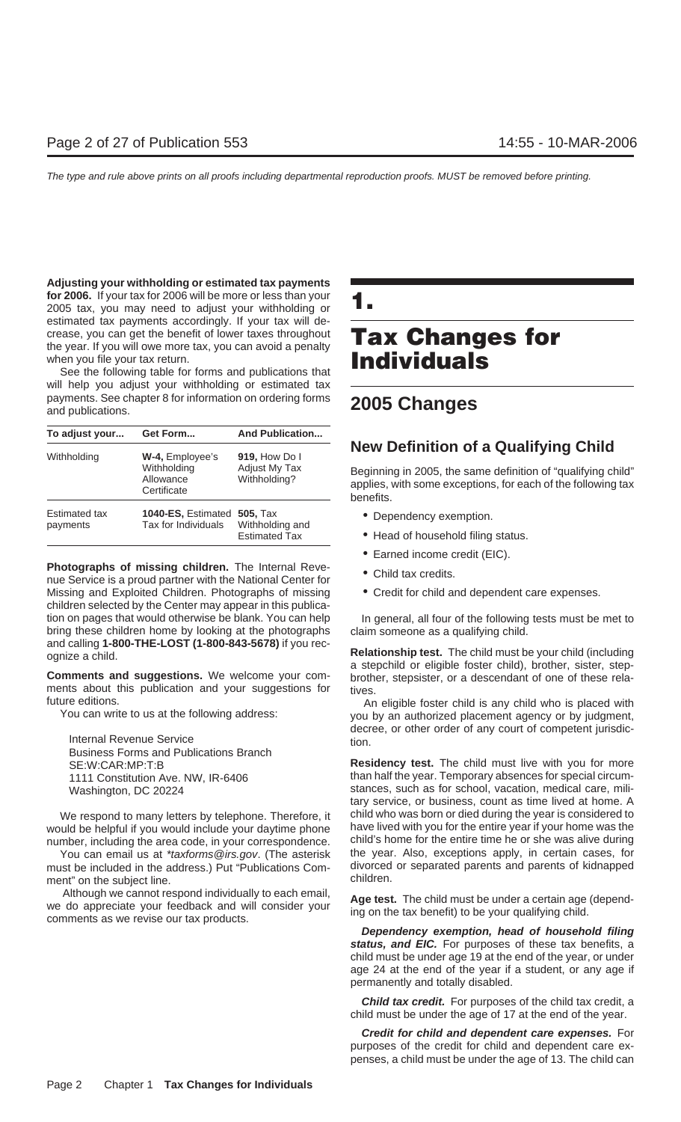**Adjusting your withholding or estimated tax payments for 2006.** If your tax for 2006 will be more or less than your **for 2006.** If your tax for 2006 will be more or less than your **1.1.**<br>2005 tax, you may need to adjust your withholding or estimated tax payments accordingly. If your tax will decrease, you can get the benefit of lower taxes throughout **Tax Changes for** the year. If you will owe more tax, you can avoid a penalty when you file your tax return.

See the following table for forms and publications that will help you adjust your withholding or estimated tax payments. See chapter 8 for information on ordering forms and publications. **2005 Changes**

| To adjust your                   | Get Form                                                   | <b>And Publication</b>                                     |
|----------------------------------|------------------------------------------------------------|------------------------------------------------------------|
| Withholding                      | W-4, Employee's<br>Withholding<br>Allowance<br>Certificate | 919, How Do I<br>Adjust My Tax<br>Withholding?             |
| <b>Estimated tax</b><br>payments | <b>1040-ES, Estimated</b><br>Tax for Individuals           | <b>505, Tax</b><br>Withholding and<br><b>Estimated Tax</b> |

**Photographs of missing children.** The Internal Reve-<br>nue Service is a proud partner with the National Center for <br>**•••** Child tax credits. Missing and Exploited Children. Photographs of missing • Credit for child and dependent care expenses. children selected by the Center may appear in this publication on pages that would otherwise be blank. You can help In general, all four of the following tests must be met to bring these children home by looking at the photographs claim someone as a qualifying child.

ments about this publication and your suggestions for tives.<br>future editions.

Business Forms and Publications Branch

must be included in the address.) Put "Publications Com- divorced ment" on the subject line ment" on the subject line.

Although we cannot respond individually to each email,<br>we do appreciate your feedback and will consider your<br>comments as we revise our tax products.<br>Althousider your time on the tax benefit) to be your qualifying child.

## **New Definition of a Qualifying Child**

Beginning in 2005, the same definition of "qualifying child" applies, with some exceptions, for each of the following tax benefits.

- **Dependency exemption.**
- Head of household filing status.
- Earned income credit (EIC).
- 
- 

and calling 1-800-THE-LOST (1-800-843-5678) if you rec-<br>ognize a child.<br>**Comments and suggestions.** We welcome your com-<br>**Comments and suggestions.** We welcome your com-<br>brother, stepsister, or a descendant of one of these

future editions. An eligible foster child is any child who is placed with You can write to us at the following address: you by an authorized placement agency or by judgment, decree, or other order of any court of competent jurisdic-<br>
Internal Revenue Service<br>  $\begin{array}{ccc}\n\text{total} & \text{total} \\
\text{total} & \text{total} \\
\text{total} & \text{total}\n\end{array}$ 

SE:W:CAR:MP:T:B **Residency test.** The child must live with you for more 1111 Constitution Ave. NW, IR-6406 than half the year. Temporary absences for special circum-Washington, DC 20224 stances, such as for school, vacation, medical care, military service, or business, count as time lived at home. A We respond to many letters by telephone. Therefore, it child who was born or died during the year is considered to would be helpful if you would include your daytime phone have lived with you for the entire year if your home was the number, including the area code, in your correspondence. child's home for the entire time he or she was alive during You can email us at *\*taxforms@irs.gov.* (The asterisk be year. Also, exceptions apply, in certain cases, for \*taxforms@irs.gov. (The asterisk be included in the address.) Put "Publications Com-

**Dependency exemption, head of household filing** status, and EIC. For purposes of these tax benefits, a child must be under age 19 at the end of the year, or under age 24 at the end of the year if a student, or any age if permanently and totally disabled.

**Child tax credit.** For purposes of the child tax credit, a child must be under the age of 17 at the end of the year.

**Credit for child and dependent care expenses.** For purposes of the credit for child and dependent care expenses, a child must be under the age of 13. The child can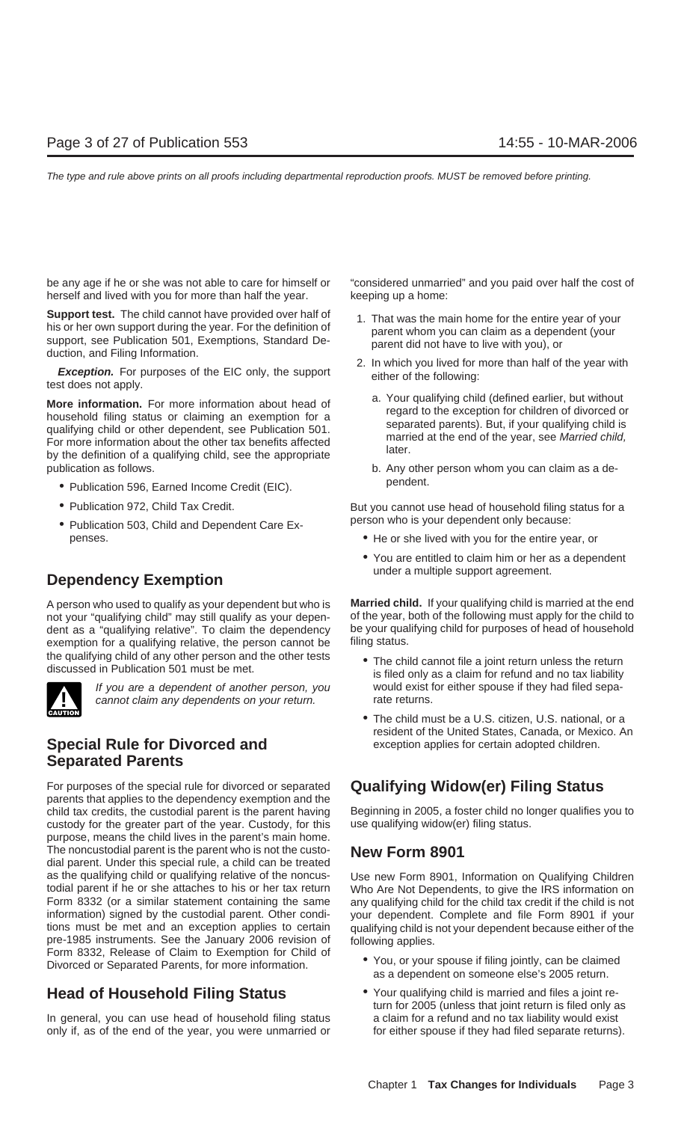be any age if he or she was not able to care for himself or "considered unmarried" and you paid over half the cost of herself and lived with you for more than half the year. keeping up a home:

**Support test.** The child cannot have provided over half of his or her own support during the year. For the definition of support, see Publication 501, Exemptions, Standard De-<br>duction, and Filing Information.<br>**Exception.** 

**More information.** For more information about head of<br>household filing status or claiming an exemption for a<br>qualifying child or other dependent, see Publication 501.<br>For more information about the other tax benefits affe publication as follows. b. Any other person whom you can claim as a de-

- Publication 596, Earned Income Credit (EIC). Publication 596, Earned Income Credit (EIC).
- 
- person who is your dependent only because: Publication 503, Child and Dependent Care Expenses. • He or she lived with you for the entire year, or

## under a multiple support agreement. **Dependency Exemption**

not your "qualifying child" may still qualify as your depen-<br>dent as a "qualifying relative". To claim the dependency be your qualifying child for purposes of head of household dent as a "qualifying relative". To claim the dependency be your qual<br>exemption for a qualifying relative, the person cannot be filing status. exemption for a qualifying relative, the person cannot be the qualifying child of any other person and the other tests<br>discussed in Publication 501 must be met.<br>is filed only as a claim for refund and no tax liability



cannot claim any dependents on your return.

## **Special Rule for Divorced and** exception applies for certain adopted children. **Separated Parents**

For purposes of the special rule for divorced or separated **Qualifying Widow(er) Filing Status**<br>parents that applies to the dependency exemption and the<br>child tax credits, the custodial parent is the parent having Beginnin child tax credits, the custodial parent is the parent having Beginning in 2005, a foster child no longustion of the vear. Custody, for this use qualifying widow er) filing status. custody for the greater part of the year. Custody, for this purpose, means the child lives in the parent's main home. The noncustodial parent is the parent who is not the custo- **New Form 8901** dial parent. Under this special rule, a child can be treated as the qualifying child or qualifying relative of the noncus-<br>
Use new Form 8901, Information on Qualifying Children<br>
todial parent if he or she attaches to his or her tax return<br>
Who Are Not Dependents, to give the IRS in todial parent if he or she attaches to his or her tax return Who Are Not Dependents, to give the IRS information on<br>Form 8332 (or a similar statement containing the same any qualifying child for the child tax credit if the information) signed by the custodial parent. Other condi- your dependent. Complete and file Form 8901 if your tions must be met and an exception applies to certain qualifying child is not your dependent because either of the pre-1985 instruments. See the January 2006 revision of following applies. Form 8332, Release of Claim to Exemption for Child of<br>Divorced or Separated Parents, for more information. <br>as a dependent on someone else's 2005 return.

In general, you can use head of household filing status a claim for a refund and no tax liability would exist only if, as of the end of the year, you were unmarried or for either spouse if they had filed separate returns).

- 
- -
	-

• Publication 972, Child Tax Credit. But you cannot use head of household filing status for a

- 
- You are entitled to claim him or her as a dependent

A person who used to qualify as your dependent but who is **Married child.** If your qualifying child is married at the end

- If you are a dependent of another person, you would exist for either spouse if they had filed sepa-<br>cannot claim any dependents on your return.
	- The child must be a U.S. citizen, U.S. national, or a resident of the United States, Canada, or Mexico. An

any qualifying child for the child tax credit if the child is not

- 
- **Head of Household Filing Status** Your qualifying child is married and files a joint return for 2005 (unless that joint return is filed only as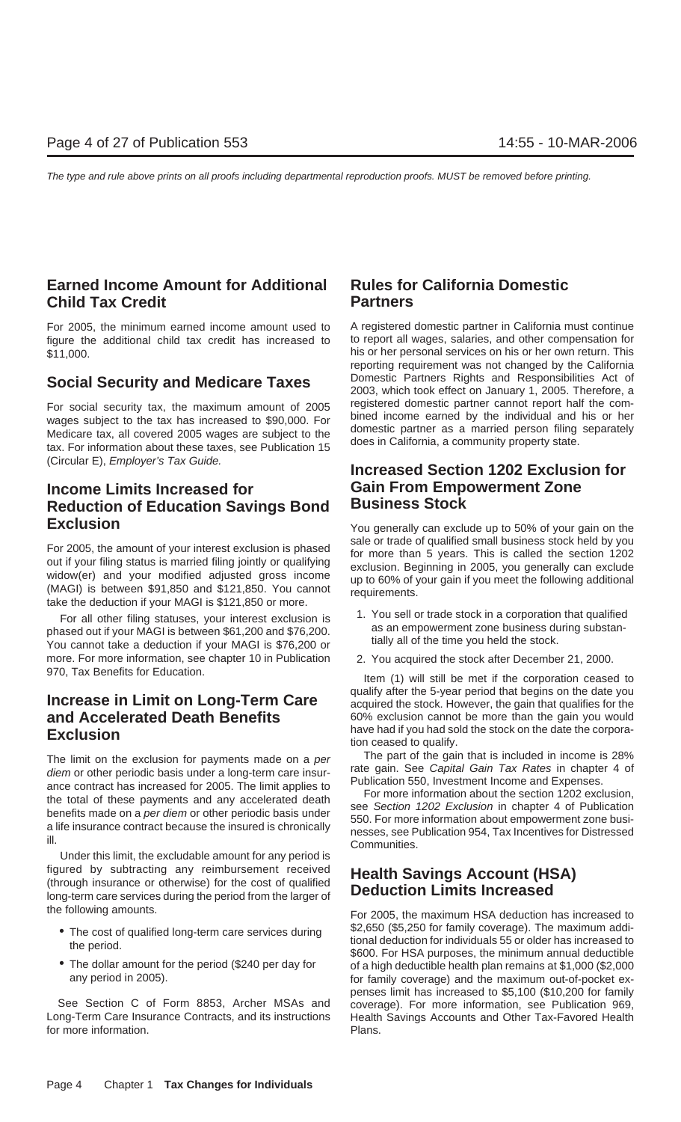## **Earned Income Amount for Additional Rules for California Domestic Child Tax Credit Partners**

figure the additional child tax credit has increased to \$11,000. his or her personal services on his or her own return. This

For social security tax, the maximum amount of 2005 registered domestic partner cannot report half the com-<br>wages subject to the tax has increased to \$90,000. For bined income earned by the individual and his or her<br>Medica

## **Income Limits Increased for Gain From Empowerment Zone Reduction of Education Savings Bond Exclusion** Exclusion **Exclusion** You generally can exclude up to 50% of your gain on the

For 2005, the amount of your interest exclusion is phased<br>out if your filing status is married filing jointly or qualifying<br>widow(er) and your modified adjusted gross income<br>(MAGI) is between \$91,850 and \$121,850. You cann

For all other filing statuses, your interest exclusion is the set of that dualified phased out if your MAGI is between \$61,200 and \$76,200.<br>You cannot take a deduction if your MAGI is \$76,200 or  $\frac{1}{1}$  as an empowerment more. For more information, see chapter 10 in Publication 2. You acquired the stock after December 21, 2000. 970, Tax Benefits for Education. The method of the metal item (1) will still be met if the corporation ceased to

diem or other periodic basis under a long-term care insur-<br>ance contract has increased for 2005. The limit applies to<br>the total of these payments and any accelerated death<br>benefits made on a *per diem* or other periodic ba

Under this limit, the excludable amount for any period is figured by subtracting any reimbursement received **Health Savings Account (HSA)** (through insurance or otherwise) for the cost of qualified long-term care services during the period from the larger of the following amounts. For 2005, the maximum HSA deduction has increased to

- 
- 

Long-Term Care Insurance Contracts, and its instructions Health Savings Accounts and Other Tax-Favored Health for more information. The property of the plans.

For 2005, the minimum earned income amount used to A registered domestic partner in California must continue<br>figure the additional child tax credit has increased to to report all wages, salaries, and other compensation for reporting requirement was not changed by the California **Social Security and Medicare Taxes** Domestic Partners Rights and Responsibilities Act of **Social Security and Medicare Taxes** 2003, which took effect on January 1, 2005. Therefore, a

# (Circular E), Employer's Tax Guide. **Increased Section 1202 Exclusion for**

- 
- 

**Increase in Limit on Long-Term Care** acquired the 5-year period that begins on the date you acquired the stock. However, the gain that qualifies for the **and Accelerated Death Benefits** 60% exclusion cannot be more than the gain you would **Exclusion**<br> **Exclusion**<br> **Exclusion**<br> **Exclusion**<br> **Exclusion**<br> **Exclusion**<br> **Exclusion** 

The limit on the exclusion for payments made on a per<br>
The part of the gain that is included in income is 28%<br>
digm or other periodic bacis under a long term care incurant rate gain. See Capital Gain Tax Rates in chapter 4

• The cost of qualified long-term care services during \$2,650 (\$5,250 for family coverage). The maximum addi-<br>tional deduction for individuals 55 or older has increased to<br>\$600. For HSA purposes, the minimum annual deducti of a high deductible health plan remains at \$1,000 (\$2,000 any period in 2005). The same state of the maximum out-of-pocket expenses limit has increased to \$5,100 (\$10,200 for family See Section C of Form 8853, Archer MSAs and coverage). For more information, see Publication 969,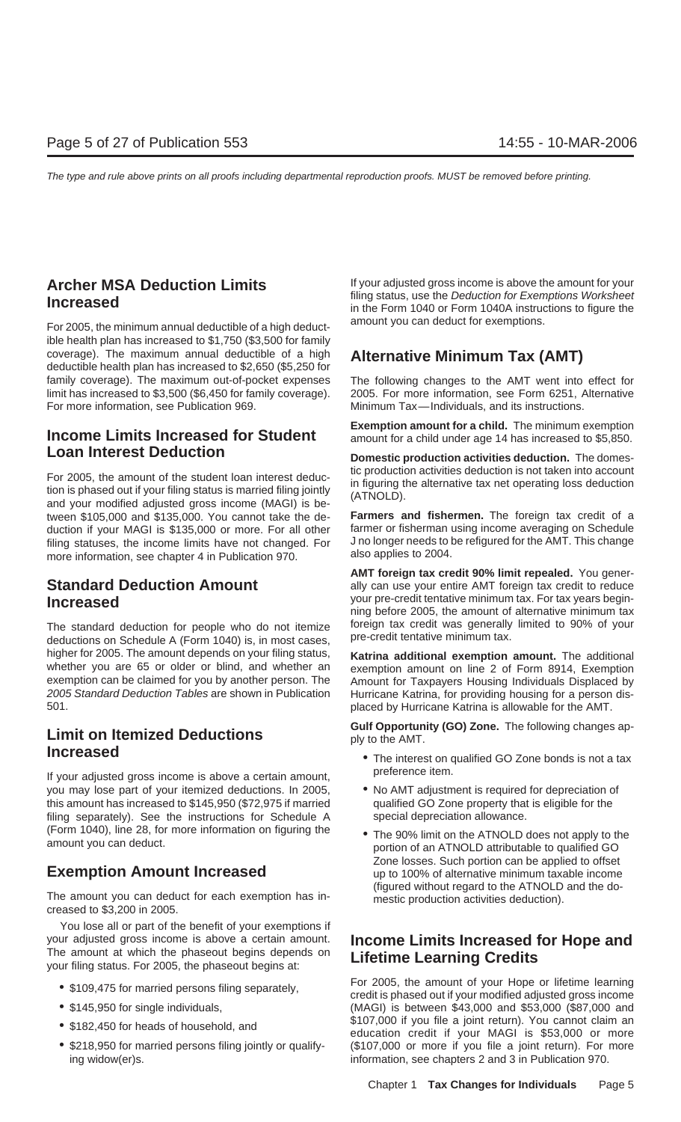For 2005, the minimum annual deductible of a high deduct-<br> ible health plan has increased to \$1,750 (\$3,500 for family coverage). The maximum annual deductible of a high **Alternative Minimum Tax (AMT)** deductible health plan has increased to \$2,650 (\$5,250 for family coverage). The maximum out-of-pocket expenses The following changes to the AMT went into effect for limit has increased to \$3,500 (\$6,450 for family coverage). 2005. For more information, see Form 6251, Alternative<br>For more information, see Publication 969. Minimum Tax—Individuals, and its instructions.

## **Loan Interest Deduction Details and** *Domestic production activities deduction.* **The domes-**

For 2005, the amount of the student loan interest deduc-<br>tion is phased out if your filing status is married filing jointly<br>and your modified adjusted gross income (MAGI) is be-<br>differentiative tax net operating loss deduc tween \$105,000 and \$135,000. You cannot take the de- **Farmers and fishermen.** The foreign tax credit of a duction if your MAGI is \$135,000 or more. For all other farmer or fisherman using income averaging on Schedule<br>filing statuses, the income limits have not changed. For Jno longer needs to be refigured for the AMT. This cha filing statuses, the income limits have not changed. For J no longer needs to be more information see chanter 4 in Publication 970 more information, see chapter 4 in Publication 970.

deductions on Schedule A (Form 1040) is, in most cases, higher for 2005. The amount depends on your filing status, **Katrina additional exemption amount.** The additional whether you are 65 or older or blind, and whether an exemption amount on line 2 of Form 8914, Exemption exemption exemption can be claimed for you by another person. The Amount for Taxpayers Housing Individuals Displaced by<br>2005 Standard Deduction Tables are shown in Publication Hurricane Katrina for providing housing for a person dis 2005 Standard Deduction Tables are shown in Publication Hurricane Katrina, for providing housing for a person dis-

preference item. If your adjusted gross income is above a certain amount, you may lose part of your itemized deductions. In 2005, <br>
this amount has increased to \$145,950 (\$72,975 if married qualified GO Zone property that is eligible for the this amount has increased to \$145,950 (\$72,975 if married filing separately). See the instructions for Schedule A special depreciation allowance. (Form 1040), line 28, for more information on figuring the • The 90% limit on the ATNOLD does not apply to the amount you can deduct.

(figured without regard to the ATNOLD and the do- The amount you can deduct for each exemption has in- mestic production activities deduction). creased to \$3,200 in 2005.

You lose all or part of the benefit of your exemptions if your adjusted gross income is above a certain amount. Income Limits Increased for Hope and<br>The amount at which the phaseout begins depends on Lifetime Learning Credits<br>your filing status. For 2005, the phaseout begins at:

- 
- 
- 
- 

**Archer MSA Deduction Limits**<br> **If** your adjusted gross income is above the amount for your<br> **Increased** filing status, use the Deduction for Exemptions Worksheet **Increased** in the Form 1040 or Form 1040A instructions to figure the

Minimum Tax—Individuals, and its instructions.

**Exemption amount for a child.** The minimum exemption **Income Limits Increased for Student** amount for a child under age 14 has increased to \$5,850.

**AMT foreign tax credit 90% limit repealed.** You gener-**Standard Deduction Amount** ally can use your entire AMT foreign tax credit to reduce **Increased Increased Increased ning before 2005**, the amount of alternative minimum tax **Increased** ning before 2005, the amount of alternative minimum tax The standard deduction for people who do not itemize foreign tax credit was generally limited to 90% of your deductions on Schedule A (Form 1040) is in most cases pre-credit tentative minimum tax.

placed by Hurricane Katrina is allowable for the AMT.

**Culf Opportunity (GO) Zone.** The following changes ap-<br>
ply to the AMT.

- **Increased** *Increased Increased Increased Increased Increased Increased Increased Increased Increased Inferential Interest on qualified GO Zone bonds is not a tax* 
	-
- Zone losses. Such portion can be applied to offset **Exemption Amount Increased** up to 100% of alternative minimum taxable income

For 2005, the amount of your Hope or lifetime learning • \$109,475 for married persons filing separately, credit is phased out if your modified adjusted gross income • \$145,950 for single individuals, (MAGI) is between \$43,000 and \$53,000 (\$87,000 and \$53,000 and \$53,000 and \$53,000 and \$107,000 if you file a joint return). You cannot claim an \$107,000 if you file a joint return). You cannot claim an • \$182,450 for heads of household, and education credit if your MAGI is \$53,000 or more • \$218,950 for married persons filing jointly or qualify- (\$107,000 or more if you file a joint return). For more ing widow(er)s. information, see chapters 2 and 3 in Publication 970.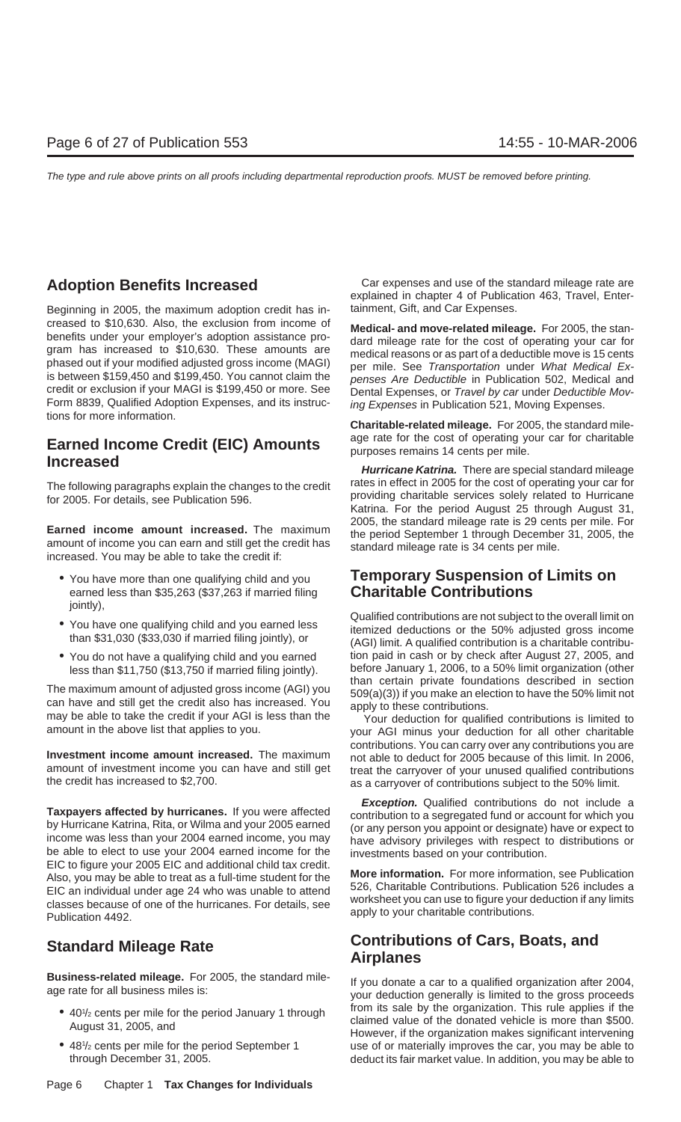Beginning in 2005, the maximum adoption credit has in- tainment, Gift, and Car Expenses. creased to \$10,630. Also, the exclusion from income of<br>benefits under your employer's adoption assistance pro-<br>gram has increased to \$10,630. These amounts are<br>phased out if your modified adjusted gross income (MAGI)<br>is be is between \$159,450 and \$199,450. You cannot claim the penses Are Deductible in Publication 502, Medical and credit or exclusion if your MAGI is \$199,450 or more. See Dental Expenses, or Travel by car under Deductible Mov-Form 8839, Qualified Adoption Expenses, and its instruc- ing Expenses in Publication 521, Moving Expenses. tions for more information.

## **Earned Income Credit (EIC) Amounts** age rate for the cost of operating your car for charitable<br>**Increased purposes remains 14 cents per mile.**

**Earned income amount increased.** The maximum 2005, the standard mileage rate is 29 cents per mile. For the period September 1 through December 31, 2005, the standard mileage rate is 34 cents per mile.<br>Increased. You may b

- earned less than \$35,263 (\$37,263 if married filing jointly),
- 
- 

The maximum amount of adjusted gross income (AGI) you<br>can have and still get the credit also has increased. You<br>may be able to take the credit if your AGI is less than the<br>amount in the above list that applies to you.<br>amou

**Taxpayers affected by hurricanes.** If you were affected<br>by Hurricane Katrina, Rita, or Wilma and your 2005 earned<br>income was less than your 2004 earned income, you may<br>be able to elect to use your 2004 earned income for t EIC to figure your 2005 EIC and additional child tax credit.<br>Also, you may be able to treat as a full-time student for the<br>EIC an individual under age 24 who was unable to attend<br>classes because of one of the hurricanes. F

**Business-related mileage.** For 2005, the standard mile-<br>age rate for all business miles is: your deduction generally is limited to the gross proceeds

- 
- 48<sup>1</sup>/<sub>2</sub> cents per mile for the period September 1

**Adoption Benefits Increased** Car expenses and use of the standard mileage rate are explained in chapter 4 of Publication 463, Travel, Enter-

**Charitable-related mileage.** For 2005, the standard mile-

**Hurricane Katrina.** There are special standard mileage The following paragraphs explain the changes to the credit rates in effect in 2005 for the cost of operating your car for<br>for 2005. For details, see Publication 596.<br>Katrina. For the period August 25 through August 31,

## • You have more than one qualifying child and you **Temporary Suspension of Limits on**

• You have one qualifying child and you earned less<br>temized deductions or the 50% adjusted gross income<br>than \$31,030 (\$33,030 if married filing jointly), or (AGI) limit. A qualified contribution is a charitable contribu-• You do not have a qualifying child and you earned tion paid in cash or by check after August 27, 2005, and before January 1, 2006, to a 50% limit organization (other less than \$11,750 (\$13,750 if married filing jointly).<br>than certain private foundations described in section

**Investment income amount increased.** The maximum<br>and able to deduct for 2005 because of this limit. In 2006,<br>amount of investment income you can have and still get<br>reat the carryover of your unused qualified contributions amount of investment income you can have and still get treat the carryover of your unused qualified contributions the credit has increased to \$2,700.

**Exception.** Qualified contributions do not include a

## **Contributions of Cars, Boats, and Standard Mileage Rate Airplanes**

• 40<sup>1</sup>/<sub>2</sub> cents per mile for the period January 1 through from its sale by the organization. This rule applies if the /2 cents per mile for the period January 1 through claimed value of the donated vehicle is more than \$500. August 31, 2005, and However, if the organization makes significant intervening use of or materially improves the car, you may be able to through December 31, 2005. deduct its fair market value. In addition, you may be able to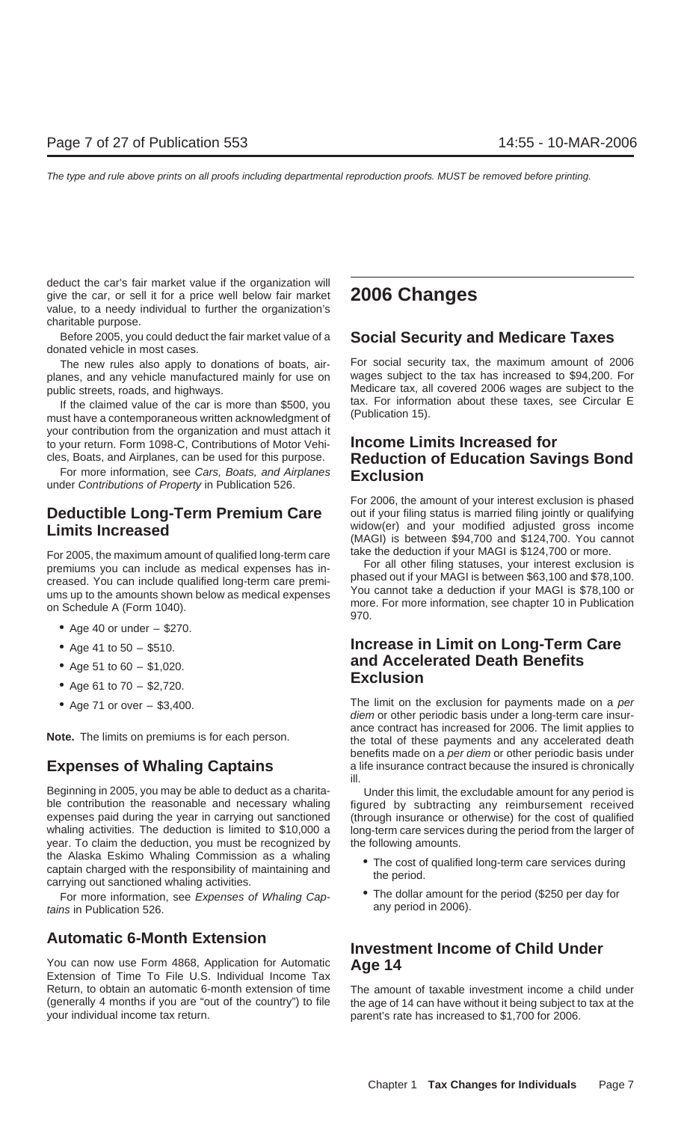deduct the car's fair market value if the organization will give the car, or sell it for a price well below fair market **2006 Changes** value, to a needy individual to further the organization's charitable purpose.

Before 2005, you could deduct the fair market value of a **Social Security and Medicare Taxes** donated vehicle in most cases.

planes, and any vehicle manufactured mainly for use on

If the claimed value of the car is more than \$500, you are taxed For information of the car is more than  $$500$ , you must have a contemporaneous written acknowledgment of your contribution from the organization and must attach it to your return. Form 1098-C, Contributions of Motor Vehi- **Income Limits Increased for**

For 2005, the maximum amount of qualified long-term care<br>premiums you can include as medical expenses has in-<br>creased. You can include qualified long-term care premi-<br>ums up to the amounts shown below as medical expenses<br>o

- Age 40 or under  $-$  \$270.
- 
- 
- **Exclusion** Age 61 to 70 \$2,720.
- 

Beginning in 2005, you may be able to deduct as a charita- Under this limit, the excludable amount for any period is ble contribution the reasonable and necessary whaling figured by subtracting any reimbursement received expenses paid during the year in carrying out sanctioned (through insurance or otherwise) for the cost of qualified whaling activities. The deduction is limited to \$10,000 a long-term care services during the period from the larger of year. To claim the deduction, you must be recognized by the following amounts. the Alaska Eskimo Whaling Commission as a whaling <br>captain charged with the responsibility of maintaining and the period.<br>carrying out sanctioned whaling activities.

tains in Publication 526.

You can now use Form 4868, Application for Automatic **Age 14** Extension of Time To File U.S. Individual Income Tax Return, to obtain an automatic 6-month extension of time The amount of taxable investment income a child under your individual income tax return. parent's rate has increased to \$1,700 for 2006.

The new rules also apply to donations of boats, air-<br>Ines and any vehicle manufactured mainly for use on a wages subject to the tax has increased to \$94,200. For public streets, roads, and highways.<br>If the claimed value of the car is more than \$500, you tax. For information about these taxes, see Circular E

# cles, Boats, and Airplanes, can be used for this purpose. **Reduction of Education Savings Bond** For more information, see Cars, Boats, and Airplanes **Exclusion** under Contributions of Property in Publication 526.

For 2006, the amount of your interest exclusion is phased **Deductible Long-Term Premium Care** out if your filing status is married filing jointly or qualifying **I** imits **Increased income** widow(er) and your modified adjusted gross income **Limits Increased Limits Increased Limits Increased Limits Increased Exercise 2016 Exercise 10** (MAGI) is between \$94,700 and \$124,700. You cannot

## • Age 41 to 50 – \$510. **Increase in Limit on Long-Term Care** • Age 51 to 60 – \$1,020. **and Accelerated Death Benefits**<br>**Exclusion**

• Age 71 or over – \$3,400. The limit on the exclusion for payments made on a per diem or other periodic basis under a long-term care insurance contract has increased for 2006. The limit applies to **Note.** The limits on premiums is for each person.<br>**Note.** The limits on premiums is for each person. **the total of these payments and any accelerated death** benefits made on a per diem or other periodic basis under **Expenses of Whaling Captains** a life insurance contract because the insured is chronically ill.

- 
- For more information, see Expenses of Whaling Cap-<br>
ins in Publication 526<br>
ins in Publication 526

## **Automatic 6-Month Extension Investment Income of Child Under**

(generally 4 months if you are "out of the country") to file the age of 14 can have without it being subject to tax at the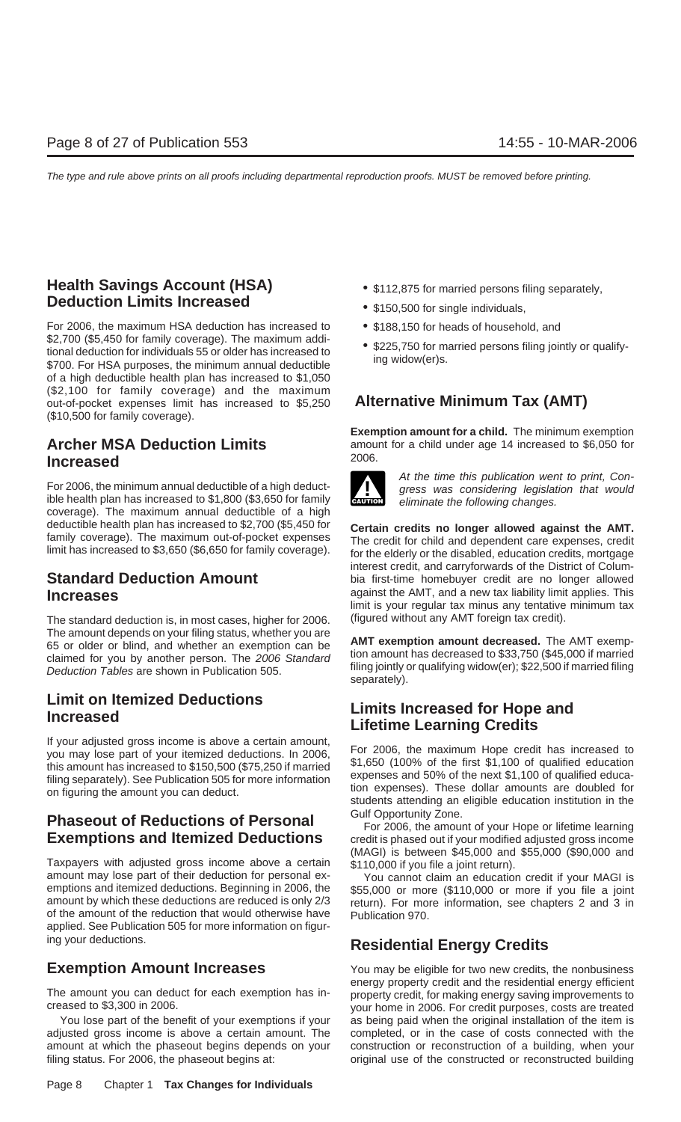## **Health Savings Account (HSA)** • \$112,875 for married persons filing separately, **Deduction Limits Increased • \$150,500 for single individuals,**

For 2006, the maximum HSA deduction has increased to  $\bullet$  \$188,150 for heads of household, and \$2,700 (\$5,450 for family coverage). The maximum addi-\$225,750 for married persons filing jointly or qualify-<br>tional deduction for individuals 55 or older has increased to<br>\$700. For HSA purposes, the minimum annual deductible<br>ting widow(er)s. of a high deductible health plan has increased to \$1,050 (\$2,100 for family coverage) and the maximum out-of-pocket expenses limit has increased to \$5,250 **Alternative Minimum Tax (AMT)** (\$10,500 for family coverage).

## 2006. **Increased**

coverage). The maximum annual deductible of a high deductible health plan has increased to \$2,700 (\$5,450 for<br>family coverage). The maximum out-of-pocket expenses<br>limit has increased to \$3,650 (\$6,650 for family coverage). The credit for child and dependent care expenses,

The standard deduction is, in most cases, higher for 2006. (figured without any AMT foreign tax credit).

## **Limit on Itemized Deductions Limits Increased for Hope and Increased Lifetime Learning Credits**

## **Phaseout of Reductions of Personal** Gulf Opportunity Zone.<br>
For 2006, the amount of your Hope or lifetime learning

Taxpayers with adjusted gross income above a certain  $$110,000$  if you file a joint return).<br>amount may lose part of their deduction for personal ex-<br>emptions and itemized deductions. Beginning in 2006, the  $$55,000$  or mo emptions and itemized deductions. Beginning in 2006, the \$55,000 or more (\$110,000 or more if you file a joint<br>amount by which these deductions are reduced is only 2/3 return). For more information, see chapters 2 and 3 in of the amount of the reduction that would otherwise have Publication 970. applied. See Publication 505 for more information on figuring your deductions. **Residential Energy Credits**

adjusted gross income is above a certain amount. The completed, or in the case of costs connected with the amount at which the phaseout begins depends on your construction or reconstruction of a building, when your filing status. For 2006, the phaseout begins at: original use of the constructed or reconstructed building

- 
- 
- 
- 

**Exemption amount for a child.** The minimum exemption **Archer MSA Deduction Limits** amount for a child under age 14 increased to \$6,050 for<br>2006.



For 2006, the minimum annual deductible of a high deduct-<br>ible health plan has increased to \$1,800 (\$3,650 for family<br>eliminate the following changes.

interest credit, and carryforwards of the District of Colum-**Standard Deduction Amount** bia first-time homebuyer credit are no longer allowed **Increases Increases Increases Increases Increases Increases Increases Increases Instead <b>Increases Instead <b>Increases Instead Increases Instead Increases Instead** limit is your regular tax minus any tentative minimum tax

The amount depends on your filing status, whether you are<br>65 or older or blind, and whether an exemption can be<br>claimed for you by another person. The 2006 Standard tion amount has decreased to \$33,750 (\$45,000 if married<br>

If your adjusted gross income is above a certain amount,<br>you may lose part of your itemized deductions. In 2006,<br>this amount has increased to \$150,500 (\$75,250 if married<br>filing separately). See Publication 505 for more in

**Exemptions and Itemized Deductions** credit is phased out if your modified adjusted gross income (MAGI) is between \$45,000 and \$55,000 (\$90,000 and

**Exemption Amount Increases**<br>energy property credit and the residential energy efficient The amount you can deduct for each exemption has in-<br>creased to \$3,300 in 2006.<br>your home in 2006. For credit purposes, costs are treated You lose part of the benefit of your exemptions if your as being paid when the original installation of the item is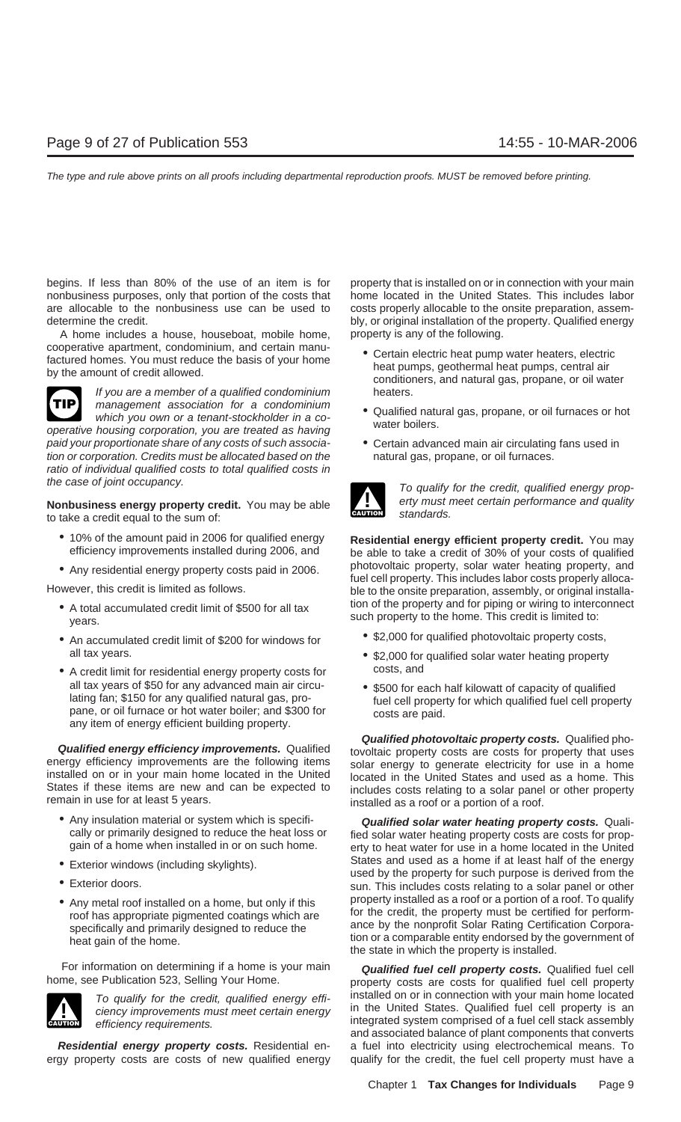begins. If less than 80% of the use of an item is for property that is installed on or in connection with your main nonbusiness purposes, only that portion of the costs that home located in the United States. This includes labor are allocable to the nonbusiness use can be used to costs properly allocable to the onsite preparation, assemdetermine the credit.  $\qquad \qquad$  bly, or original installation of the property. Qualified energy

A home includes a house, houseboat, mobile home, property is any of the following. cooperative apartment, condominium, and certain manu-<br>factured homes. You must reduce the basis of your home<br>by the amount of credit allowed.<br>conditioners, and natural gas, propane, or oil water



If you are a member of a qualified condominium heaters. management association for a condominium<br>which you own or a tenant-stockholder in a co-<br>housing comparation when the stockholder in a co-<br>water boilers.

operative housing corporation, you are treated as having paid your proportionate share of any costs of such associa- • Certain advanced main air circulating fans used in tion or corporation. Credits must be allocated based on the natural gas, propane, or oil furnaces. ratio of individual qualified costs to total qualified costs in the case of joint occupancy.

to take a credit equal to the sum of:

- 
- 

- 
- all tax years.  $\bullet$  \$2,000 for qualified solar water heating property
- A credit limit for residential energy property costs for costs, and all tax years of \$50 for any advanced main air circu-<br>
lating fan; \$150 for any qualified natural gas, pro-<br>
pane, or oil furnace or hot water boiler; and \$300 for<br>
any item of energy efficient building property.<br>
any item

- 
- 
- 
- 

For information on determining if a home is your main **Qualified fuel cell property costs.** Qualified fuel cell



ergy property costs are costs of new qualified energy qualify for the credit, the fuel cell property must have a

- 
- 
- 



**Nonbusiness energy property credit.** You may be able **The standard of the energy property credit.** You may be able **CAUTION** standards.

• 10% of the amount paid in 2006 for qualified energy **Residential energy efficient property credit.** You may be able to take a credit of 30% of your costs of qualified ● Any residential energy property costs paid in 2006. photovoltaic property, solar water heating property, and fuel cell property. This includes labor costs properly alloca-<br>However, this credit is limited as follows. ble ble to the onsite preparation, assembly, or original installa-• A total accumulated credit limit of \$500 for all tax in the property and for piping or wiring to interconnect<br>years.

- An accumulated credit limit of \$200 for windows for \$2,000 for qualified photovoltaic property costs,
	-
	-

**Qualified energy efficiency improvements.** Qualified<br>energy efficiency improvements are the following items<br>installed on or in your main home located in the United<br>States if these items are new and can be expected to<br>biol States if these items are new and can be expected to includes costs relating to a solar panel or other property remain in use for at least 5 years.  $\frac{1}{100}$  installed as a roof or a portion of a roof.

• Any insulation material or system which is specifi-<br>cally or primarily designed to reduce the heat loss or fied solar water heating property costs are costs for prop cally or primarily designed to reduce the heat loss or fied solar water heating property costs are costs for prop-<br>gain of a home when installed in or on such home. Furty to heat water for use in a home located in the Unit erty to heat water for use in a home located in the United ■ Exterior windows (including skylights).<br>■ States and used as a home if at least half of the energy<br>■ used by the property for such purpose is derived from the<br>sun. This includes costs relating to a solar panel or other • Any metal roof installed on a home, but only if this roof has appropriate pigmented coatings which are for the credit, the property must be certified for perform-<br>specifically and primarily designed to reduce the heat ga

property costs are costs for qualified fuel cell property To qualify for the credit, qualified energy effi-<br>ciency improvements must meet certain energy<br>efficiency requirements.<br>efficiency requirements.<br>integrated system comprised of a fuel cell stack assembly and associated balance of plant components that converts **Residential energy property costs.** Residential en- a fuel into electricity using electrochemical means. To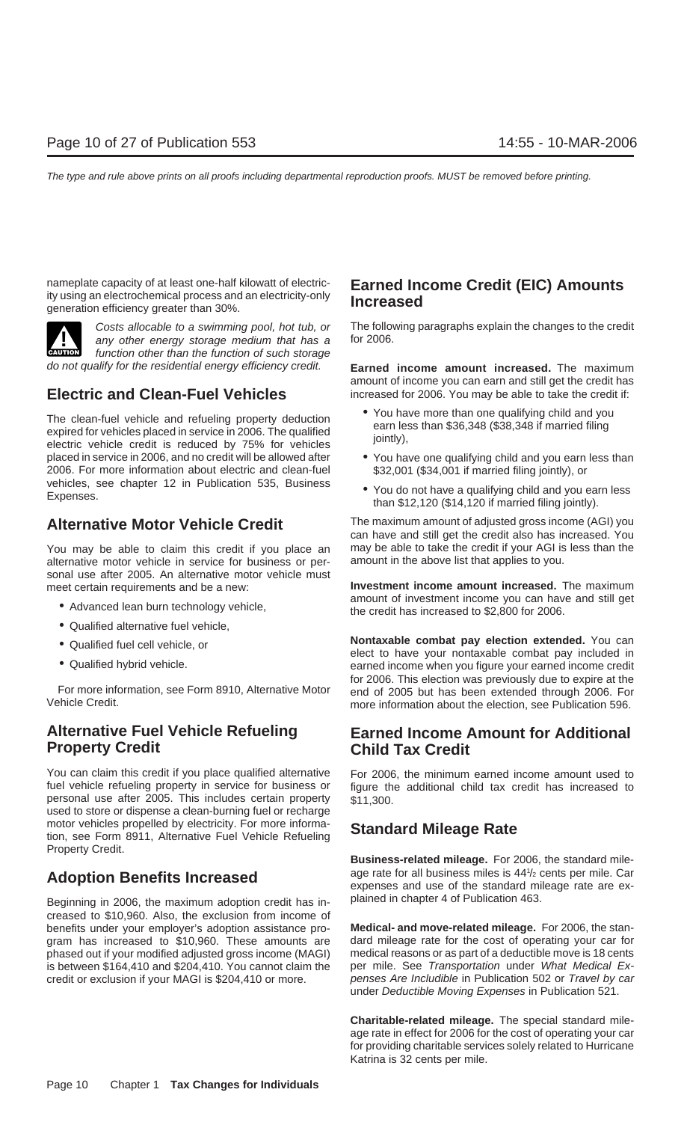nameplate capacity of at least one-half kilowatt of electric-<br>ity using an electrochemical process and an electricity-only **Increased Increased Increased Solution** 



any other energy storage medium that has a function other than the function of such storage

The clean-fuel vehicle and refueling property deduction<br>expired for vehicles placed in service in 2006. The qualified<br>electric vehicle credit is reduced by 75% for vehicles<br>electric vehicle credit is reduced by 75% for veh placed in service in 2006, and no credit will be allowed after • You have one qualifying child and you earn less than 2006. For more information about electric and clean-fuel \$32,001 (\$34,001 if married filing jointly), or vehicles, see chapter 12 in Publication 535, Business • You do not have a qualifying child and you earn less<br>Expenses.<br>than \$12,120 (\$14,120 if married filing jointly).

alternative motor vehicle in service for business or personal use after 2005. An alternative motor vehicle must meet certain requirements and be a new: **Investment income amount increased.** The maximum

- 
- Qualified alternative fuel vehicle,
- 
- 

## **Alternative Fuel Vehicle Refueling Earned Income Amount for Additional Property Credit Child Tax Credit**

You can claim this credit if you place qualified alternative For 2006, the minimum earned income amount used to fuel vehicle refueling property in service for business or figure the additional child tax credit has increased to personal use after 2005. This includes certain property  $$11,300$ . used to store or dispense a clean-burning fuel or recharge motor vehicles propelled by electricity. For more informa- **Standard Mileage Rate** tion, see Form 8911, Alternative Fuel Vehicle Refueling Property Credit.

Beginning in 2006, the maximum adoption credit has in-<br>Beginning in 2006, the maximum adoption credit has increased to \$10,960. Also, the exclusion from income of benefits under your employer's adoption assistance pro- **Medical- and move-related mileage.** For 2006, the stangram has increased to \$10,960. These amounts are dard mileage rate for the cost of operating your car for phased out if your car for chased out if your modified adjusted gross income (MAGI) medical reasons or as part of a phased out if your modified adjusted gross income (MAGI) is between \$164,410 and \$204,410. You cannot claim the per mile. See Transportation under What Medical Excredit or exclusion if your MAGI is \$204,410 or more. penses Are Includible in Publication 502 or Travel by car credit or exclusion if your MAGI is \$204,410 or more.

Costs allocable to a swimming pool, hot tub, or The following paragraphs explain the changes to the credit any other energy storage medium that has a for 2006.

do not qualify for the residential energy efficiency credit. **Earned income amount increased.** The maximum amount of income you can earn and still get the credit has **Electric and Clean-Fuel Vehicles** increased for 2006. You may be able to take the credit if:

- 
- 
- 

**Alternative Motor Vehicle Credit** The maximum amount of adjusted gross income (AGI) you can have and still get the credit also has increased. You You may be able to claim this credit if you place an may be able to take the credit if your AGI is less than the alternative motor vehicle in service for business or per-<br>amount in the above list that applies to you.

• Advanced lean burn technology vehicle, the credit has increased to \$2,800 for 2006.

• Qualified fuel cell vehicle, or<br>
• Qualified hybrid vehicle.<br>
• Qualified hybrid vehicle.<br>
• Qualified hybrid vehicle.<br>
• Qualified hybrid vehicle.<br>
• Qualified hybrid vehicle. for 2006. This election was previously due to expire at the For more information, see Form 8910, Alternative Motor end of 2005 but has been extended through 2006. For more information about the election, see Publication 596.

**Business-related mileage.** For 2006, the standard mileage rate for all business miles is 441/2 cents per mile. Car Adoption Benefits Increased<br>
expenses and use of the standard mileage rate are ex-

under Deductible Moving Expenses in Publication 521.

**Charitable-related mileage.** The special standard mileage rate in effect for 2006 for the cost of operating your car for providing charitable services solely related to Hurricane Katrina is 32 cents per mile.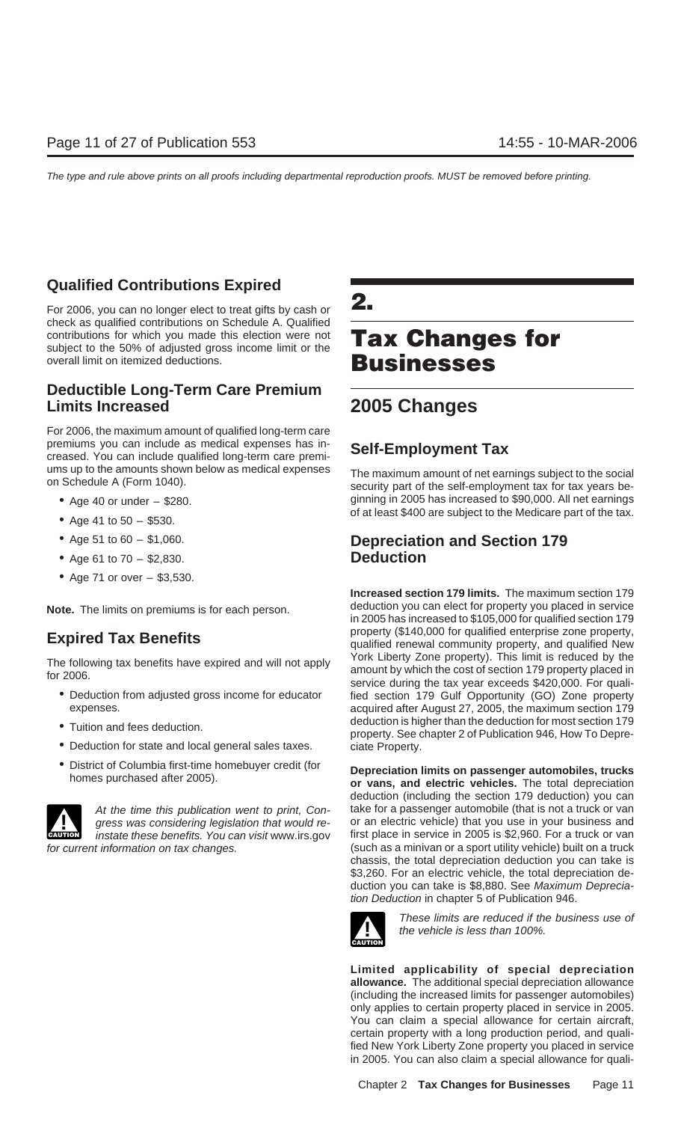## **Qualified Contributions Expired**

For 2006, you can no longer elect to treat gifts by cash or **2.** check as qualified contributions on Schedule A. Qualified contributions for which you made this election were not **Tax Changes for** subject to the 50% of adjusted gross income limit or the overall limit on itemized deductions. **Businesses**

## **Deductible Long-Term Care Premium Limits Increased 2005 Changes**

For 2006, the maximum amount of qualified long-term care premiums you can include as medical expenses has in- **Self-Employment Tax** creased. You can include qualified long-term care premiums up to the amounts shown below as medical expenses The maximum amount of net earnings subject to the social<br>on Schedule A (Form 1040). security part of the self-employment tax for tax years be-

- 
- 
- 
- Age 61 to 70 \$2,830. **Deduction**
- Age 71 or over \$3,530.

- 
- 
- Deduction for state and local general sales taxes. ciate Property.
- 



• Age 40 or under – \$280. ginning in 2005 has increased to \$90,000. All net earnings of at least \$400 are subject to the Medicare part of the tax. • Age 41 to 50 – \$530.

## • Age 51 to 60 – \$1,060. **Depreciation and Section 179**

**Increased section 179 limits.** The maximum section 179 **Note.** The limits on premiums is for each person. deduction you can elect for property you placed in service in 2005 has increased to \$105,000 for qualified section 179 **Expired Tax Benefits**<br> **Expired Tax Benefits**<br> **Expired Tax Benefits**<br> **Expired Tax Benefits** The following tax benefits have expired and will not apply<br>for 2006.<br>service during the tax year exceeds \$420,000. For quali-<br>service during the tax year exceeds \$420,000. For quali-• Deduction from adjusted gross income for educator fied section 179 Gulf Opportunity (GO) Zone property expenses. acquired after August 27, 2005, the maximum section 179 deduction is higher than the deduction for most section 179 • Tuition and fees deduction. property. See chapter 2 of Publication 946, How To Depre-

• District of Columbia first-time homebuyer credit (for **Depreciation limits on passenger automobiles, trucks** homes purchased after 2005). **or vans, and electric vehicles.** The total depreciation deduction (including the section 179 deduction) you can At the time this publication went to print, Con-<br>take for a passenger automobile (that is not a truck or van gress was considering legislation that would re- or an electric vehicle) that you use in your business and instate these benefits. You can visit www.irs.gov first place in service in 2005 is \$2,960. For a truck or van for current information on tax changes. (such as a minivan or a sport utility vehicle) built on a truck chassis, the total depreciation deduction you can take is \$3,260. For an electric vehicle, the total depreciation deduction you can take is \$8,880. See Maximum Depreciation Deduction in chapter 5 of Publication 946.



These limits are reduced if the business use of the vehicle is less than 100%.

**Limited applicability of special depreciation allowance.** The additional special depreciation allowance (including the increased limits for passenger automobiles) only applies to certain property placed in service in 2005. You can claim a special allowance for certain aircraft, certain property with a long production period, and qualified New York Liberty Zone property you placed in service in 2005. You can also claim a special allowance for quali-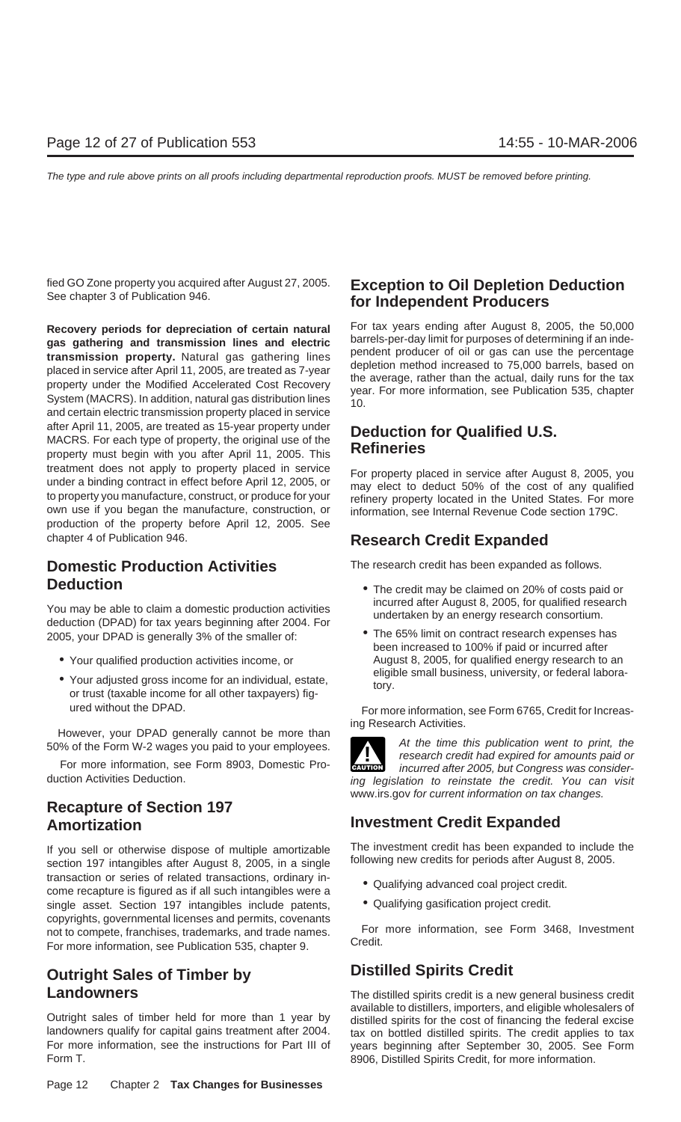**gas gathering and transmission lines and electric** barrels-per-day limit for purposes of determining if an inde-<br> **transmission property**. Natural gas gathering lines<br>
placed in service after April 11, 2005, are treated a and certain electric transmission property placed in service after April 11, 2005, are treated as 15-year property under<br>MACRS. For each type of property, the original use of the<br>**Refineries** property must begin with you after April 11, 2005. This treatment does not apply to property placed in service<br>under a binding contract in effect before April 12, 2005, or<br>to property ou manufacture, construct, or produce for your<br>refinery property located in the United States. own use if you began the manufacture, construction, or information, see Internal Revenue Code section 179C. production of the property before April 12, 2005. See chapter 4 of Publication 946. **Research Credit Expanded**

It is the article of the specific production activities<br>
deduction (DPAD) for tax years beginning after 2004. For<br>
2005, your DPAD is generally 3% of the smaller of:<br>
The 65% limit on contract research expenses has 2005, your DPAD is generally 3% of the smaller of:

- 
- Your adjusted gross income for an individual, estate, tory.<br>or trust (taxable income for all other taxpayers) fig-

## **Recapture of Section 197**

If you sell or otherwise dispose of multiple amortizable The investment credit has been expanded to include the<br>section 197 intangibles after August 8, 2005, in a single following new credits for periods after August 8, 20 section 197 intangibles after August 8, 2005, in a single transaction or series of related transactions, ordinary in-<br>
come recapture is figured as if all such intangibles were a<br>  $\bullet$  Qualifying advanced coal project credit. single asset. Section 197 intangibles include patents, **...** Qualifying gasification project credit. copyrights, governmental licenses and permits, covenants<br>
For more information, see Form 3468, Investment<br>
For more information, see Publication 535, chapter 9.<br>
Credit.

## **Outright Sales of Timber by Distilled Spirits Credit**

landowners qualify for capital gains treatment after 2004. tax on bottled distilled spirits. The credit applies to tax<br>For more information, see the instructions for Part III of the vears beginning after September 30, 2005 Form T. **8906, Distilled Spirits Credit, for more information.** 8906, Distilled Spirits Credit, for more information.

## fied GO Zone property you acquired after August 27, 2005. **Exception to Oil Depletion Deduction** See chapter 3 of Publication 946. **for Independent Producers**

**Recovery periods for depreciation of certain natural** For tax years ending after August 8, 2005, the 50,000 negation and transmission lines and electric barrels-per-day limit for purposes of determining if an inde-

**Domestic Production Activities** The research credit has been expanded as follows.

- **Deduction**<br>
 The credit may be claimed on 20% of costs paid or<br>
incurred after August 8, 2005, for qualified research
	- been increased to 100% if paid or incurred after • Your qualified production activities income, or <br>eligible small business, university, or federal labora-<br>March 2005, for qualified energy research to an

ured without the DPAD. The Section of the UPAD. The Section of Form at Form at information, see Form 6765, Credit for Increas-

However, your DPAD generally cannot be more than<br>50% of the Form W-2 wages you paid to your employees.<br>For more information, see Form 8903, Domestic Pro-<br>duction Activities Deduction.<br>inclusively the research credit had ex **!** ing legislation to reinstate the credit. You can visit www.irs.gov for current information on tax changes.

## **Amortization Investment Credit Expanded**

- 
- 

**Landowners** The distilled spirits credit is a new general business credit available to distillers, importers, and eligible wholesalers of<br>Outright sales of timber held for more than 1 year by<br>landowners qualify for capital gains treatment after 2004. <br>tax on bottled distilled spirits. The credit years beginning after September 30, 2005. See Form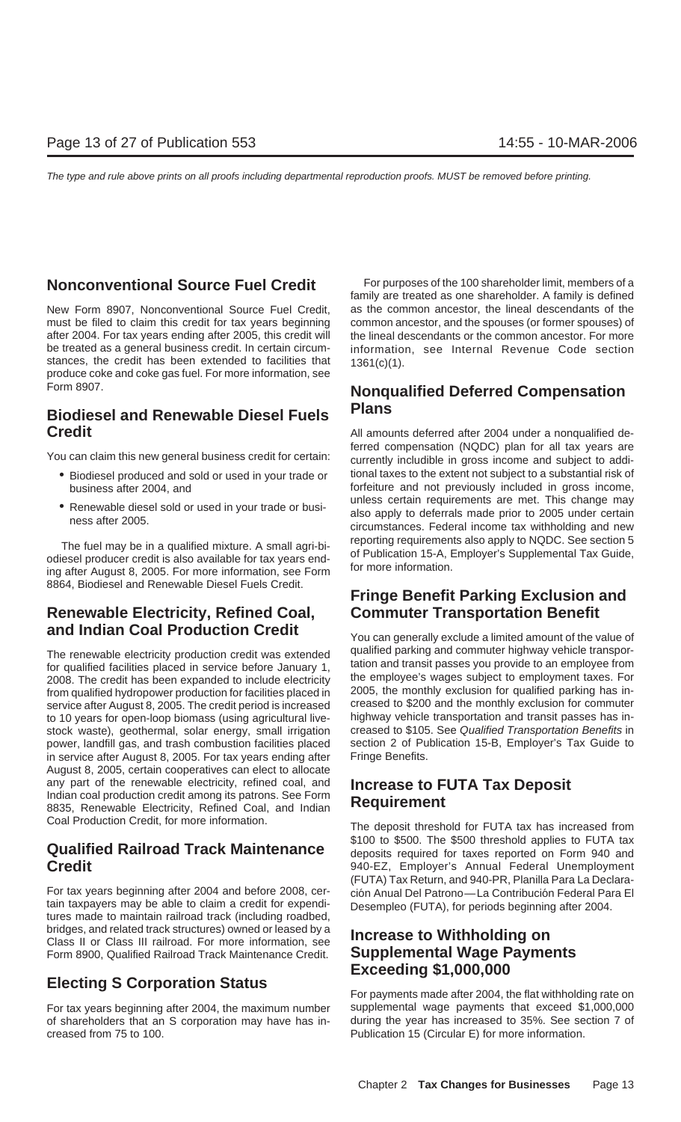must be filed to claim this credit for tax years beginning common ancestor, and the spouses (or former spouses) of after 2004. For tax years ending after 2005, this credit will the lineal descendants or the common ancestor. For more be treated as a general business credit. In certain circum- information, see Internal Revenue Code section stances, the credit has been extended to facilities that  $1361(c)(1)$ . produce coke and coke gas fuel. For more information, see

## **Plans Biodiesel and Renewable Diesel Fuels Credit** Credit **Credit** All amounts deferred after 2004 under a nonqualified de-

- 
- 

8864, Biodiesel and Renewable Diesel Fuels Credit.

## **Renewable Electricity, Refined Coal, Commuter Transportation Benefit and Indian Coal Production Credit** You can generally exclude a limited amount of the value of

for qualified facilities placed in service before January 1, tation and transit passes you provide to an employee from<br>2008. The credit has been expanded to include electricity. the employee's wages subject to employment t 2008. The credit has been expanded to include electricity the employee's wages subject to employment taxes. For<br>from qualified hydropower production for facilities placed in 2005, the monthly exclusion for qualified parkin from qualified hydropower production for facilities placed in 2005, the monthly exclusion for qualified parking has in-<br>service after August 8, 2005. The credit period is increased creased to \$200 and the monthly exclusion service after August 8, 2005. The credit period is increased creased to \$200 and the monthly exclusion for commuter<br>to 10 years for open-loop biomass (using agricultural live- highway vehicle transportation and transit pas to 10 years for open-loop biomass (using agricultural live- highway vehicle transportation and transit passes has in-<br>stock waste), geothermal, solar energy, small irrigation creased to \$105. See Qualified Transportation B stock waste), geothermal, solar energy, small irrigation creased to \$105. See Qualified Transportation Benefits in<br>power, landfill gas, and trash combustion facilities placed section 2 of Publication 15-B, Employer's Tax G power, landfill gas, and trash combustion facilities placed in service after August 8, 2005. For tax years ending after Fringe Benefits. August 8, 2005, certain cooperatives can elect to allocate any part of the renewable electricity, refined coal, and **Increase to FUTA Tax Deposit** Indian coal production credit among its patrons. See Form **Requirement** 8835, Renewable Electricity, Refined Coal, and Indian **Require** Coal Production Credit, for more information. The deposit threshold for FUTA tax has increased from

For tax years beginning after 2004 and before 2008, cer-<br>
tain taxpayers may be able to claim a credit for expendi-<br>
Desempleo (FUTA) for periods beginning after 2004 tain taxpayers may be able to claim a credit for expendi-<br>tures made to maintain railroad track (including roadbed, bridges, and related track structures) owned or leased by a **Increase to Withholding on** Class II or Class III railroad. For more information, see Form 8900, Qualified Railroad Track Maintenance Credit. **Supplemental Wage Payments**

## **Exceeding \$1,000,000**<br>For payments made after 2004, the flat withholding rate on

For tax years beginning after 2004, the maximum number supplemental wage payments that exceed \$1,000,000 of shareholders that an S corporation may have has in- during the year has increased to 35%. See section 7 of creased from 75 to 100. Publication 15 (Circular E) for more information.

**Nonconventional Source Fuel Credit** For purposes of the 100 shareholder limit, members of a family are treated as one shareholder. A family is defined New Form 8907, Nonconventional Source Fuel Credit, as the common ancestor, the lineal descendants of the

## Form 8907. **Nonqualified Deferred Compensation**

ferred compensation (NQDC) plan for all tax years are<br>You can claim this new general business credit for certain: currently includible in gross income and subject to addi-• Biodiesel produced and sold or used in your trade or tional taxes to the extent not subject to a substantial risk of business after 2004, and forfeiture and not previously included in gross income,<br>mless certain requirements are met. This change may • Renewable diesel sold or used in your trade or busi-<br>ness after 2005.<br>circumstances. Federal income tax withholding and new The fuel may be in a qualified mixture. A small agri-bi-<br>
odiesel producer credit is also available for tax years end-<br>
ing after August 8, 2005. For more information, see Form<br>
for more information.

## **Fringe Benefit Parking Exclusion and**

The renewable electricity production credit was extended qualified parking and commuter highway vehicle transpor-<br>for qualified facilities placed in service before, January 1 tation and transit passes you provide to an emp

\$100 to \$500. The \$500 threshold applies to FUTA tax **Qualified Railroad Track Maintenance**<br>**Credit** deposits required for taxes reported on Form 940 and<br>940-EZ. Employer's Annual Federal Unemployment 940-EZ, Employer's Annual Federal Unemployment (FUTA) Tax Return, and 940-PR, Planilla Para La Declara-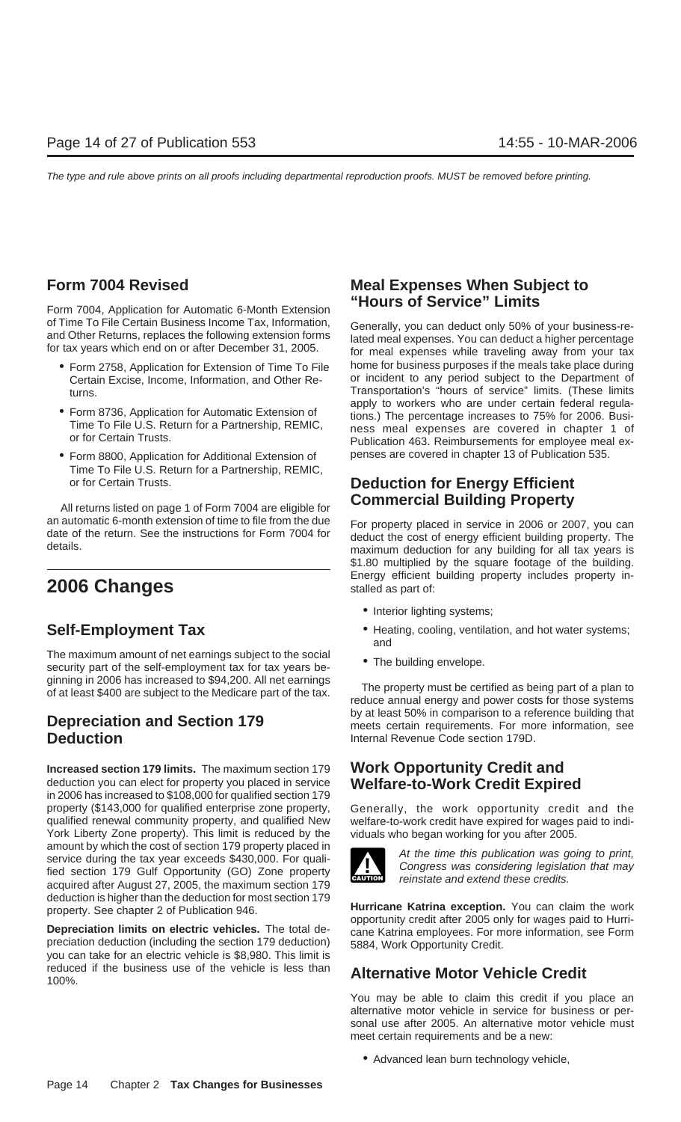**Form 7004, Application for Automatic 6-Month Extension "Hours of Service" Limits** of Time To File Certain Business Income Tax, Information, Generally, you can deduct only 50% of your business-re-<br>and Other Returns, replaces the following extension forms lated meal expenses. You can deduct a higher perce

- 
- 
- Form 8800, Application for Additional Extension of penses are covered in chapter 13 of Publication 535. Time To File U.S. Return for a Partnership, REMIC, or for Certain Trusts. **Deduction for Energy Efficient**

an automatic 6-month extension of time to file from the due<br>date of the return. See the instructions for Form 7004 for<br>deduct the cost of energy efficient building property. The<br>details.<br>maximum deduction for any building

The maximum amount of net earnings subject to the social  $\bullet$  The building envelope.<br>security part of the self-employment tax for tax years be- $\bullet$  The building envelope.

**Increased section 179 limits.** The maximum section 179 **Work Opportunity Credit and** deduction you can elect for property you placed in service **Welfare-to-Work Credit Expired** in 2006 has increased to \$108,000 for qualified section 179 property (\$143,000 for qualified enterprise zone property, Generally, the work opportunity credit and the qualified renewal community property, and qualified New welfare-to-work credit have expired for wages paid to indi-York Liberty Zone property). This limit is reduced by the viduals who began working for you after 2005. amount by which the cost of section 179 property placed in<br>service during the tax year exceeds \$430,000. For quali-<br>fied section 179 Gulf Opportunity (GO) Zone property<br>reinstate and extend these credits. acquired after August 27, 2005, the maximum section 179

reduced if the business use of the vehicle is less than **Alternative Motor Vehicle Credit** 100%.

## **Form 7004 Revised Meal Expenses When Subject to**

• Form 2758, Application for Extension of Time To File home for business purposes if the meals take place during Certain Excise, Income, Information, and Other Re- or incident to any period subject to the Department of turns.<br>Transportation's "hours of service" limits. (These limits<br>apply to workers who are under certain federal regula-• Form 8736, Application for Automatic Extension of tions.) The percentage increases to 75% for 2006. Busi-<br>Time To File U.S. Return for a Partnership, REMIC,<br>or for Certain Trusts.<br>Publication 463. Reimbursements for empl

## **Commercial Building Property** All returns listed on page 1 of Form 7004 are eligible for

\$1.80 multiplied by the square footage of the building. **2006 Changes** Energy efficient building property includes property in-<br>stalled as part of:

- Interior lighting systems;
- **Self-Employment Tax** Heating, cooling, ventilation, and hot water systems; and
	-

ginning in 2006 has increased to \$94,200. All net earnings<br>of at least \$400 are subject to the Medicare part of the tax.<br>reduce annual energy and power costs for those systems **Depreciation and Section 179** by at least 50% in comparison to a reference building that<br> **Deduction**<br>
Internal Revenue Code section 179D. **Internal Revenue Code section 179D.** 



deduction is higher than the deduction for most section 179<br>property. See chapter 2 of Publication 946.<br>**Depreciation limits on electric vehicles.** The total de-<br>preciation deduction (including the section 179 deduction)<br>y

You may be able to claim this credit if you place an alternative motor vehicle in service for business or personal use after 2005. An alternative motor vehicle must meet certain requirements and be a new:

• Advanced lean burn technology vehicle,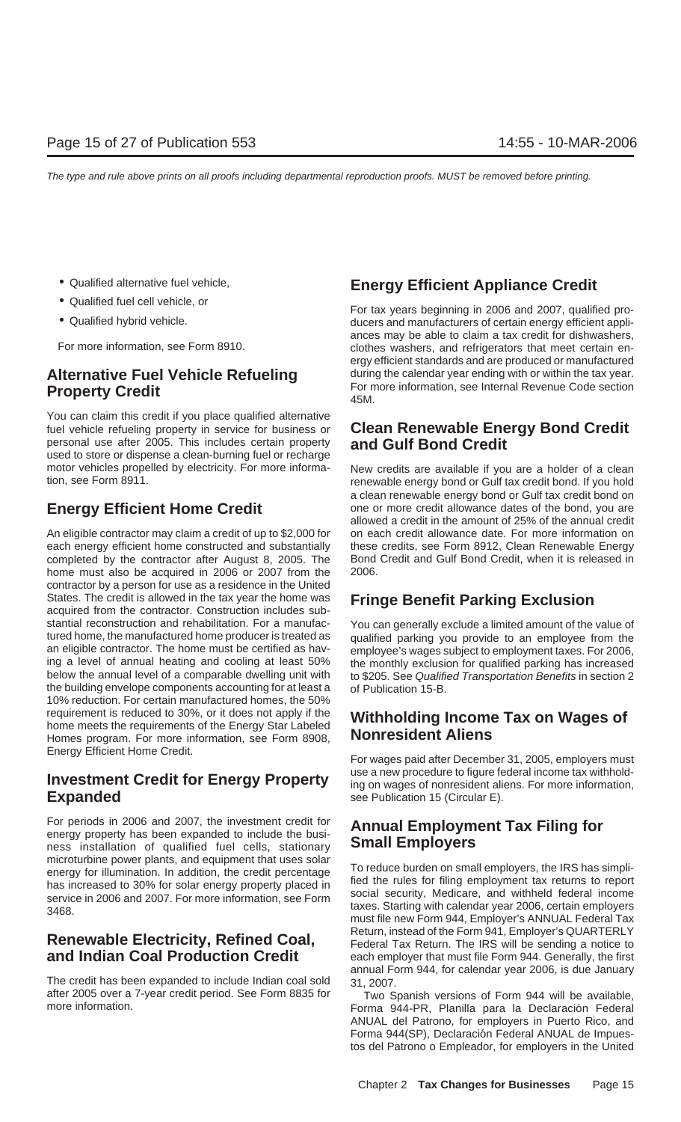- 
- 
- 

You can claim this credit if you place qualified alternative fuel vehicle refueling property in service for business or **Clean Renewable Energy Bond Credit** personal use after 2005. This includes certain property **and Gulf Bond Credit** used to store or dispense a clean-burning fuel or recharge motor vehicles propelled by electricity. For more informa-<br>
renewable energy bond or Gulf tax credit bond If you hold

An eligible contractor may claim a credit of up to \$2,000 for on each credit allowance date. For more information on each energy efficient home constructed and substantially these credits, see Form 8912, Clean Renewable Energy completed by the contractor after August 8, 2005. The Bond Credit and Gulf Bond Credit, when it is released in home must also be acquired in 2006 or 2007 from the 2006. contractor by a person for use as a residence in the United States. The credit is allowed in the tax year the home was **Fringe Benefit Parking Exclusion** acquired from the contractor. Construction includes substantial reconstruction and rehabilitation. For a manufac-<br>tured home, the manufactured home producer is treated as a qualified parking you provide to an employee from the an eligible contractor. The home must be certified as hav-<br>ing a level of annual heating and cooling at least 50% the monthly exclusion for qualified parking has increased ing a level of annual heating and cooling at least 50% the monthly exclusion for qualified parking has increased<br>below the annual level of a comparable dwelling unit with to \$205. See Qualified Transportation Benefits in s the building envelope components accounting for at least a of Publication 15-B. 10% reduction. For certain manufactured homes, the 50% requirement is reduced to 30%, or it does not apply if the **Withholding Income Tax on Wages of** home meets the requirements of the Energy Star Labeled Homes program. For more information, see Form 8908, Energy Efficient Home Credit. For wages paid after December 31, 2005, employers must

For periods in 2006 and 2007, the investment credit for **Annual Employment Tax Filing for**<br>energy property has been expanded to include the busi-<br>ness, installation, of qualified, fuel, cells, stationary, **Small Employers** ness installation of qualified fuel cells, stationary

The credit has been expanded to include Indian coal sold 31, 2007. after 2005 over a 7-year credit period. See Form 8835 for Two Spanish versions of Form 944 will be available,

## • Qualified alternative fuel vehicle, **Energy Efficient Appliance Credit**

• Qualified fuel cell vehicle, or **For tax years beginning in 2006 and 2007**, qualified pro-<br>• Qualified hybrid vehicle. **The end of the contract of the contract of certain** energy efficient applied ducers and manufacturers of certain energy efficient appliances may be able to claim a tax credit for dishwashers, For more information, see Form 8910. The state of clothes washers, and refrigerators that meet certain energy efficient standards and are produced or manufactured **Alternative Fuel Vehicle Refueling** during the calendar year ending with or within the tax year. **Property Credit Property Credit Property Credit Property Credit 15M.** A 45M.

renewable energy bond or Gulf tax credit bond. If you hold a clean renewable energy bond or Gulf tax credit bond on **Energy Efficient Home Credit** one or more credit allowance dates of the bond, you are allowed a credit in the amount of 25% of the annual credit

qualified parking you provide to an employee from the to \$205. See Qualified Transportation Benefits in section 2

Investment Credit for Energy Property use a new procedure to figure federal income tax withhold-<br> **Expanded** see Publication 15 (Circular E). see Publication 15 (Circular E).

microturbine power plants, and equipment that uses solar<br>energy for illumination. In addition, the credit percentage<br>has increased to 30% for solar energy property placed in<br>service in 2006 and 2007. For more information, Renewable Electricity, Refined Coal, Return, instead of the Form 941, Employer's QUARTERLY<br>Federal Tax Return. The IRS will be sending a notice to **and Indian Coal Production Credit** each employer that must file Form 944. Generally, the first annual Form 944, for calendar year 2006, is due January

Forma 944-PR, Planilla para la Declaración Federal ANUAL del Patrono, for employers in Puerto Rico, and Forma 944(SP), Declaración Federal ANUAL de Impuestos del Patrono o Empleador, for employers in the United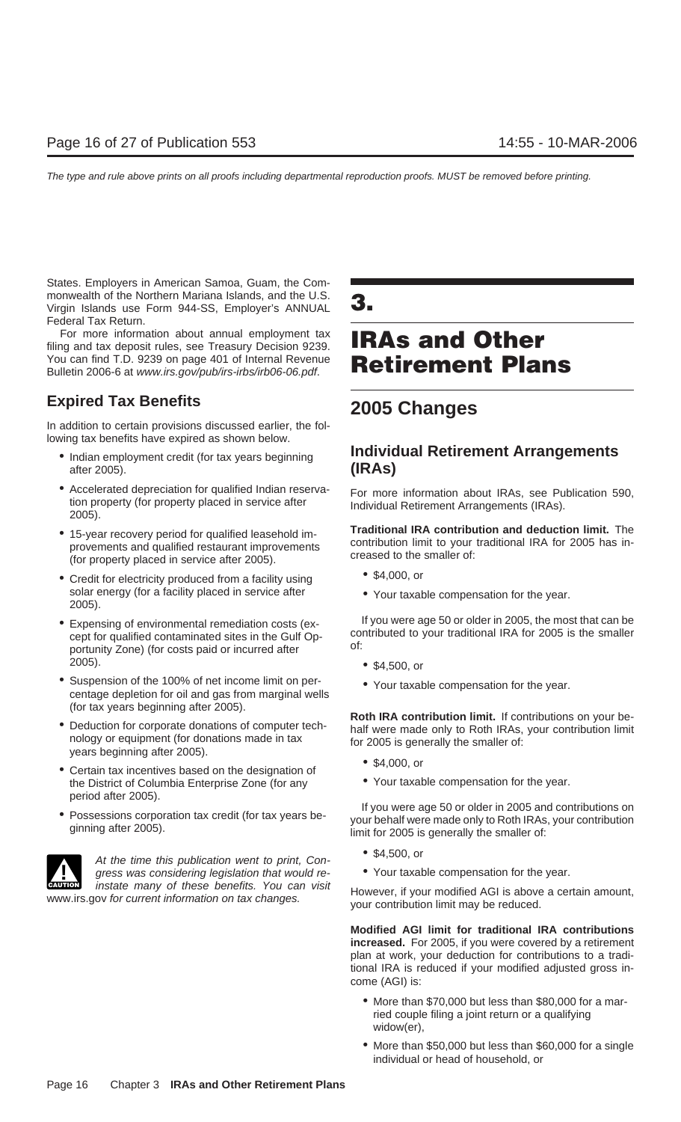States. Employers in American Samoa, Guam, the Commonwealth of the Northern Mariana Islands, and the U.S. Virgin Islands use Form 944-SS, Employer's ANNUAL **3.** Federal Tax Return.

For more information about annual employment tax For more information about annual employment tax **IRAs and Other** You can find T.D. 9239 on page 401 of Internal Revenue Bulletin 2006-6 at www.irs.gov/pub/irs-irbs/irb06-06.pdf. **Retirement Plans**

## **Expired Tax Benefits 2005 Changes**

In addition to certain provisions discussed earlier, the following tax benefits have expired as shown below.

- after 2005). **(IRAs)**
- Accelerated depreciation for qualified Indian reserva-<br>
For more information about IRAs, see Publication 590,<br>
2005).<br>
2005).
- 
- Credit for electricity produced from a facility using \$4,000, or solar energy (for a facility placed in service after • The Your taxable compensation for the year.<br>2005).
- 2005). \$4,500, or
- Suspension of the 100% of net income limit on per-<br>centage depletion for oil and gas from marginal wells<br>centage depletion for oil and gas from marginal wells
- 
- \$4,000, or<br>• the District of Columbia Enterprise Zone (for any **•** Your taxable compensation for the year. the District of Columbia Enterprise Zone (for any period after 2005).
- 



• \$4,500, or At the time this publication went to print, Congress was considering legislation that would re- • Your taxable compensation for the year. instate many of these benefits. You can visit

## • Indian employment credit (for tax years beginning **Individual Retirement Arrangements**

• 15-year recovery period for qualified leasehold im-<br>provements and qualified restaurant improvements<br>(for property placed in service after 2005).<br>(for property placed in service after 2005).

- 
- 

• Expensing of environmental remediation costs (ex-<br>cept for qualified contaminated sites in the Gulf Op-<br>portunity Zone) (for costs paid or incurred after<br>of:<br>office the smaller portunity Zone) (for costs paid or incurred

- 
- 

(for tax years beginning after 2005).<br>
• Deduction for corporate donations of computer tech-<br>
half were made only to Roth IRAs, your contribution limit<br>
years beginning after 2005).<br>
years beginning after 2005).

- 
- 

• Possessions corporation tax credit (for tax years be-<br>ginning after 2005). The state of the space of the smaller of the smaller of:<br>limit for 2005 is generally the smaller of:

- 
- 

For the modified AGI is above a certain amount,<br>www.irs.gov for current information on tax changes.<br>your contribution limit may be reduced.

**Modified AGI limit for traditional IRA contributions increased.** For 2005, if you were covered by a retirement plan at work, your deduction for contributions to a traditional IRA is reduced if your modified adjusted gross income (AGI) is:

- More than \$70,000 but less than \$80,000 for a married couple filing a joint return or a qualifying widow(er),
- More than \$50,000 but less than \$60,000 for a single individual or head of household, or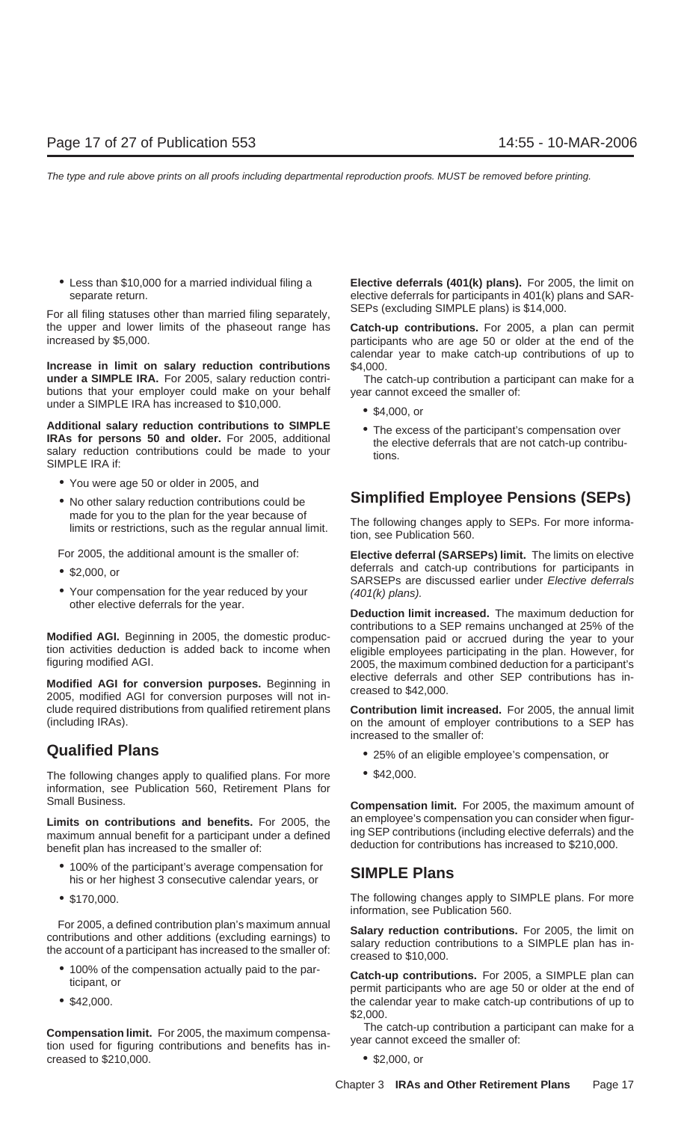SEPs (excluding SIMPLE plans) is \$14,000. For all filing statuses other than married filing separately, the upper and lower limits of the phaseout range has **Catch-up contributions.** For 2005, a plan can permit increased by \$5,000. **participants** who are age 50 or older at the end of the

**Increase in limit on salary reduction contributions** \$4,000. **under a SIMPLE IRA.** For 2005, salary reduction contri-<br>The catch-up contribution a participant can make for a butions that your employer could make on your behalf year cannot exceed the smaller of: under a SIMPLE IRA has increased to  $$10,000$ .  $\bullet$  \$4,000, or

**Additional salary reduction contributions to SIMPLE**<br> **RAs for persons 50 and older.** For 2005, additional<br>
salary reduction contributions could be made to your<br>
SIMPLE IRA if:<br>
SIMPLE IRA if:

- You were age 50 or older in 2005, and
- 

- 
- 

**Modified AGI for conversion purposes.** Beginning in elective deferrals and other SEP contributions has in-<br>2005, modified AGI for conversion purposes will not include required distributions from qualified retirement plans **Contribution limit increased.** For 2005, the annual limit (including IRAs). on the amount of employer contributions to a SEP has

The following changes apply to qualified plans. For more  $\bullet$  \$42,000. information, see Publication 560, Retirement Plans for Small Business. **Compensation limit.** For 2005, the maximum amount of

maximum annual benefit for a participant under a defined deduction for contributions has increased to \$210,000. benefit plan has increased to the smaller of:

- 100% of the participant's average compensation for **SIMPLE Plans** his or her highest 3 consecutive calendar years, or
- 

For 2005, a defined contribution plan's maximum annual<br>contributions. For 2005, the limit on<br>the account of a participant has increased to the smaller of:<br>creased to \$10,000.

- 
- 

**Compensation limit.** For 2005, the maximum compensa-<br>tion used for figuring contributions and benefits has in-<br>year cannot exceed the smaller of: creased to  $$210,000$ .  $$2,000$ , or

• Less than \$10,000 for a married individual filing a **Elective deferrals (401(k) plans).** For 2005, the limit on separate return. elective deferrals for participants in 401(k) plans and SAR-

calendar year to make catch-up contributions of up to

- 
- 

## • No other salary reduction contributions could be **Simplified Employee Pensions (SEPs)**

made for you to the plan for the year because of<br>limits or restrictions, such as the regular annual limit. The following changes apply to SEPs. For more informa-<br>tion, see Publication 560.

For 2005, the additional amount is the smaller of: **Elective deferral (SARSEPs) limit.** The limits on elective <p>• \$2,000, or<br/>\n 2,000, or<br/>\n 3,000, or<br/>\n 50,000, or<br/>\n 50,000, or<br/>\n 61,000, or<br/>\n 70,000, or<br/>\n 80,000, or<br/>\n 901(k) plans).</p>\n<p>• You compensation for the year.</p>

Deduction limit increased. The maximum deduction for modified AGI. Beginning in 2005, the domestic production contributions to a SEP remains unchanged at 25% of the<br>tion activities deduction is added back to income when<br>figuring modified AGI. 2005, the maximum combined deduc

increased to the smaller of:

- **Qualified Plans •** 25% of an eligible employee's compensation, or
	-

**Limits on contributions and benefits.** For 2005, the an employee's compensation you can consider when figur-<br>maximum annual benefit for a participant under a defined ing SEP contributions (including elective deferrals) an

• \$170,000. The following changes apply to SIMPLE plans. For more information, see Publication 560.

• 100% of the compensation actually paid to the par-<br>ticipant, or permit participants who are age 50 or older at the end of • \$42,000. the calendar year to make catch-up contributions of up to \$2,000.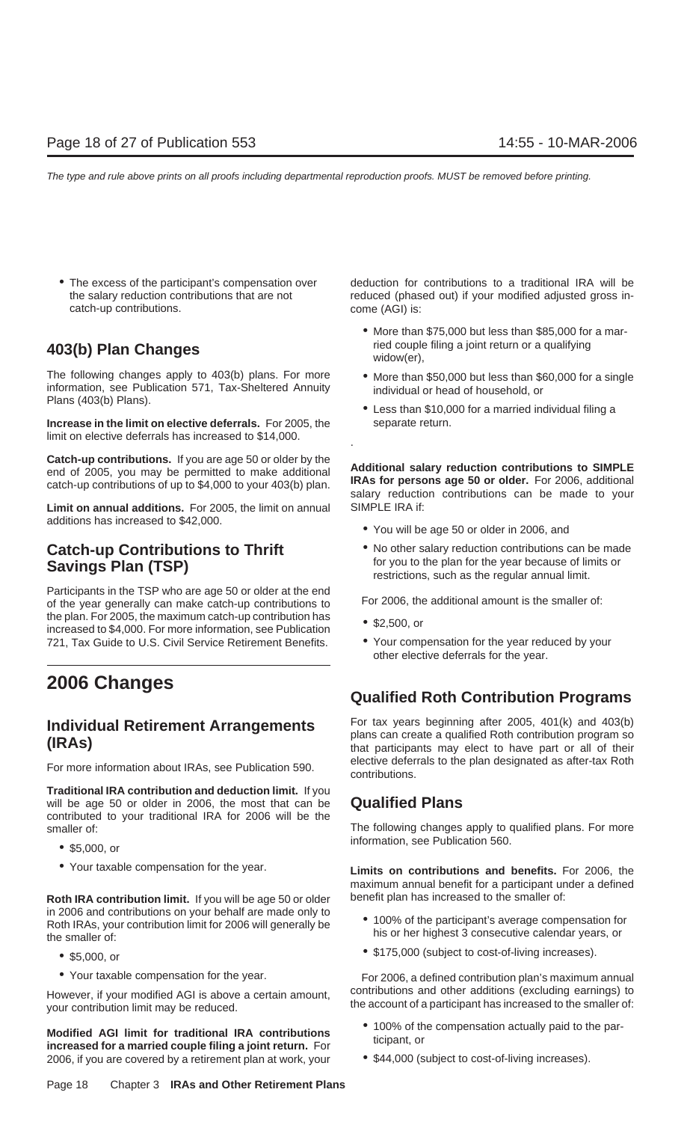catch-up contributions. Come (AGI) is:

The following changes apply to 403(b) plans. For more • More than \$50,000 but less than \$60,000 for a single information, see Publication 571, Tax-Sheltered Annuity Plans (403(b) Plans).<br>
Plans (403(b) Plans).<br>
• Less than

**Increase in the limit on elective deferrals.** For 2005, the separate return. limit on elective deferrals has increased to \$14,000.

**Catch-up contributions.** If you are age 50 or older by the<br>end of 2005, you may be permitted to make additional<br>catch-up contributions of up to \$4,000 to your 403(b) plan.<br>salary reduction contributions can be made to you

**Limit on annual additions.** For 2005, the limit on annual SIMPLE IRA if: additions has increased to \$42,000. • **•** You will be age 50 or older in 2006, and

Participants in the TSP who are age 50 or older at the end<br>of the year generally can make catch-up contributions to For 2006, the additional amount is the smaller of: the plan. For 2005, the maximum catch-up contribution has • \$2,500, or increased to \$4,000. For more information, see Publication 721, Tax Guide to U.S. Civil Service Retirement Benefits. • Your compensation for the year reduced by your

**Traditional IRA contribution and deduction limit.** If you will be age 50 or older in 2006, the most that can be **Qualified Plans** contributed to your traditional IRA for 2006 will be the smaller of: The following changes apply to qualified plans. For more

- 
- 

**Roth IRA contribution limit.** If you will be age 50 or older benefit plan has increased to the smaller of: in 2006 and contributions on your behalf are made only to<br>Roth IRAs, your contribution limit for 2006 will generally be<br>the smaller of:<br>his or her highest 3 consecutive calendar years, or

- 
- 

However, if your modified AGI is above a certain amount, contributions and other additions (excluding earnings) to your contribution limit may be reduced.

**Modified AGI limit for traditional IRA contributions**  $\bullet$  100% of the compensation actually paid to the parioreased for a married couple filing a joint return. For 2006, if you are covered by a retirement plan at work, your • \$44,000 (subject to cost-of-living increases).

• The excess of the participant's compensation over deduction for contributions to a traditional IRA will be the salary reduction contributions that are not reduced (phased out) if your modified adjusted gross in-

- More than \$75,000 but less than \$85,000 for a married couple filing a joint return or a qualifying **403(b) Plan Changes** widow(er),
	-
	-

- 
- **Catch-up Contributions to Thrift** No other salary reduction contributions can be made **Savings Plan (TSP) Savings Plan (TSP) rou to the plan for the year because of limits or restrictions**, such as the regular annual limit.

- 
- other elective deferrals for the year.

## **2006 Changes Qualified Roth Contribution Programs**

**Individual Retirement Arrangements**<br> **Individual Retirement Arrangements**<br> **IRAS** (IRAS) that participants may elect to have part or all of their<br> **IRAS** For more information about IRAs, see Publication 590. elective deferrals to the plan designated as after-tax Roth contributions.

information, see Publication 560. • \$5,000, or

• Your taxable compensation for the year. **Limits on contributions and benefits.** For 2006, the maximum annual benefit for a participant under a defined

- 
- \$175,000 (subject to cost-of-living increases). \$5,000, or

• Your taxable compensation for the year. For 2006, a defined contribution plan's maximum annual

- 
-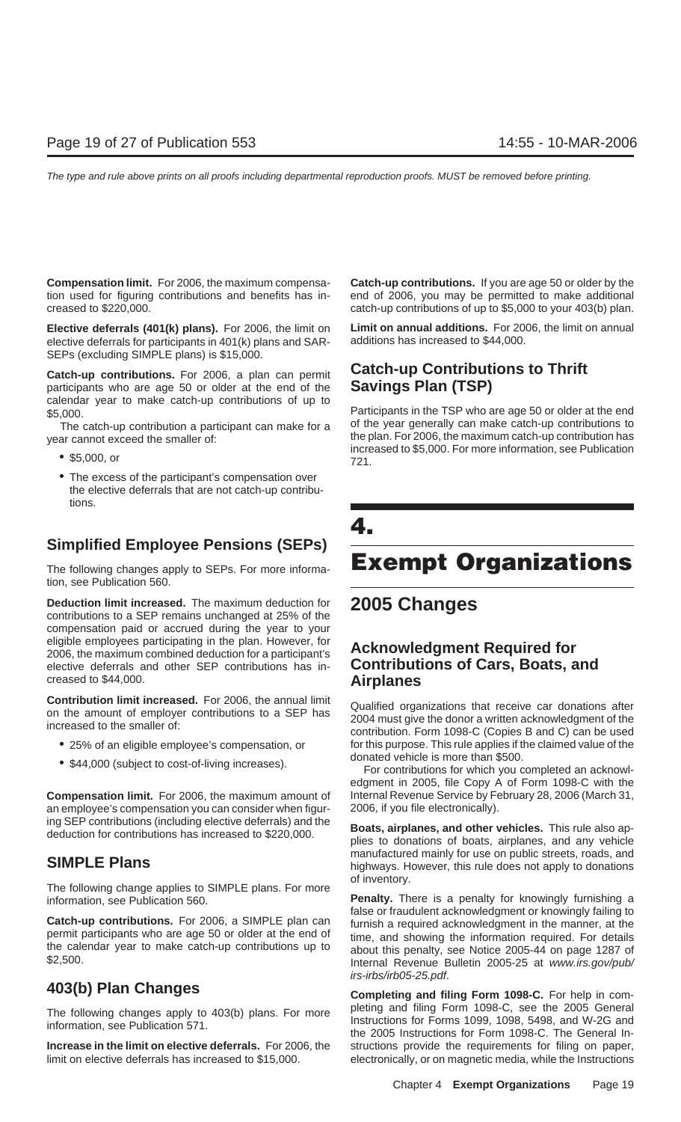creased to \$220,000. catch-up contributions of up to \$5,000 to your 403(b) plan.

elective deferrals for participants in 401(k) plans and SAR-SEPs (excluding SIMPLE plans) is \$15,000.

participants who are age 50 or older at the end of the calendar year to make catch-up contributions of up to \$5,000. Participants in the TSP who are age 50 or older at the end

- 
- The excess of the participant's compensation over the elective deferrals that are not catch-up contributions.

## **Simplified Employee Pensions (SEPs)**

tion, see Publication 560.

**Deduction limit increased.** The maximum deduction for **2005 Changes** contributions to a SEP remains unchanged at 25% of the compensation paid or accrued during the year to your eligible employees participating in the plan. However, for **Acknowledgment Required for** 2006, the maximum combined deduction for a participant's elective deferrals and other SEP contributions has in- **Contributions of Cars, Boats, and** creased to \$44,000. **Airplanes**

- 
- 

**Compensation limit.** For 2006, the maximum amount of Internal Revenue Service by February 28, 2006 (March 31, an employee's compensation you can consider when figur- 2006, if you file electronically).

of inventory. The following change applies to SIMPLE plans. For more

**Compensation limit.** For 2006, the maximum compensa- **Catch-up contributions.** If you are age 50 or older by the tion used for figuring contributions and benefits has in- end of 2006, you may be permitted to make additional

**Elective deferrals (401(k) plans).** For 2006, the limit on **Limit on annual additions.** For 2006, the limit on annual

## **Catch-up contributions.** For 2006, a plan can permit **Catch-up Contributions to Thrift**<br>participants who are age 50 or older at the end of the **Savings Plan (TSP)**

The catch-up contribution a participant can make for a of the year generally can make catch-up contributions to<br>ar cannot exceed the smaller of: the plan. For 2006, the maximum catch-up contribution has year cannot exceed the smaller of: increased to \$5,000, the maximum catch-up contribution has<br>
• \$5,000, or **increased to \$5,000. For more information**, see Publication<br>
<sup>721</sup>.

## **4.** The following changes apply to SEPs. For more informa- **Exempt Organizations**

**Contribution limit increased.** For 2006, the annual limit<br>on the amount of employer contributions to a SEP has<br>increased to the smaller of:<br>contribution. Form 1098-C (Copies B and C) can be used • 25% of an eligible employee's compensation, or for this purpose. This rule applies if the claimed value of the donated vehicle is more than \$500. • \$44,000 (subject to cost-of-living increases). For contributions for which you completed an acknowl-

edgment in 2005, file Copy A of Form 1098-C with the

ing SEP contributions (including elective deferrals) and the<br>deduction for contributions has increased to \$220,000.<br>plies to donations of boats, airplanes, and any vehicle **SIMPLE Plans**<br>**SIMPLE Plans SIMPLE Plans highways. However, this rule does not apply to donations** 

information, see Publication 560. **Penalty.** There is a penalty for knowingly furnishing a **Catch-up contributions.** For 2006, a SIMPLE plan can<br>permit participants who are age 50 or older at the end of<br>the calendar year to make catch-up contributions up to<br>\$2,500.<br>The mail Revenue Bulletin 2005-25 at www.irs.go irs-irbs/irb05-25.pdf.

**403(b) Plan Changes Completing and filing Form 1098-C.** For help in com-The following changes apply to 403(b) plans. For more pleting and filing Form 1098-C, see the 2005 General information, see Publication 571.<br>Instructions for Forms 1099, 1098, 5498, and W-2G and<br>the 2005 Instructions for F **Increase in the limit on elective deferrals.** For 2006, the structions provide the requirements for filing on paper, limit on elective deferrals has increased to \$15,000. electronically, or on magnetic media, while the Instructions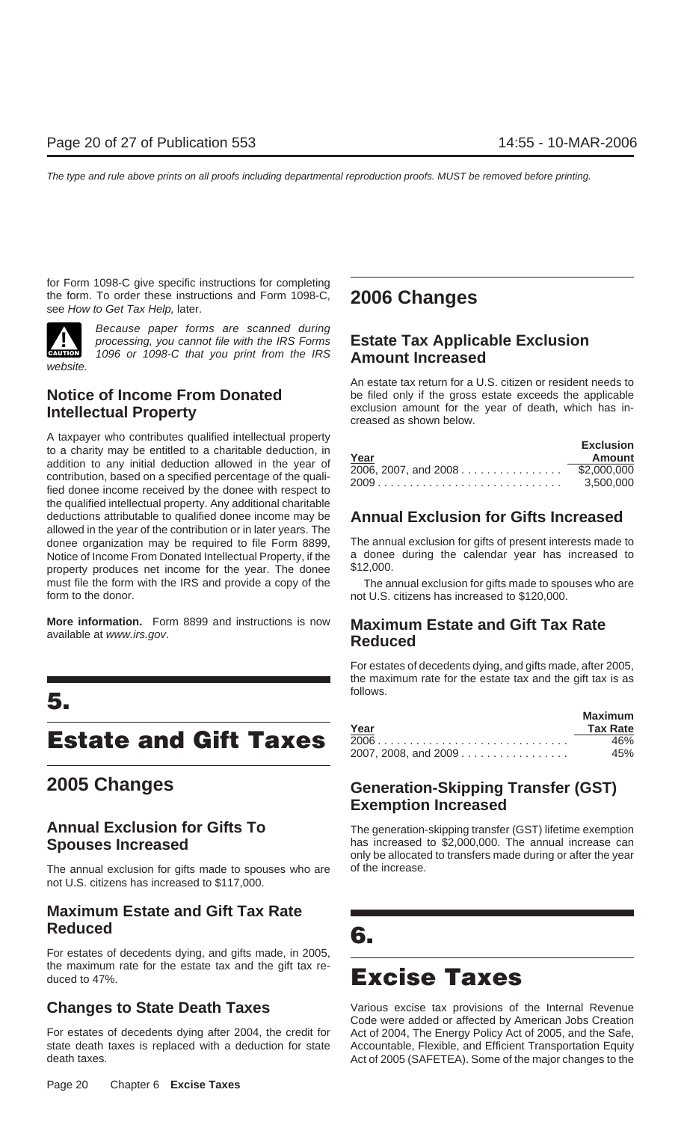for Form 1098-C give specific instructions for completing the form. To order these instructions and Form 1098-C, **2006 Changes** see How to Get Tax Help, later.



Because paper forms are scanned during **CAUTION** 1096 or 1098-C that you print from the IRS **Amount Increased** 

A taxpayer who contributes qualified intellectual property<br>to a charity may be entitled to a charitable deduction, in<br>addition to any initial deduction allowed in the year of<br>contribution, based on a specified percentage o the qualified intellectual property. Any additional charitable deductions attributable to qualified donee income may be **Annual Exclusion for Gifts Increased** allowed in the year of the contribution or in later years. The donee organization may be required to file Form 8899, The annual exclusion for gifts of present interests made to Notice of Income From Donated Intellectual Property, if the a donee during the calendar year has increased to property produces net income for the year. The donee \$12,000. property produces net income for the year. The donee must file the form with the IRS and provide a copy of the The annual exclusion for gifts made to spouses who are form to the donor. **not U.S. citizens has increased to \$120,000.** not U.S. citizens has increased to \$120,000.

**More information.** Form 8899 and instructions is now **Maximum Estate and Gift Tax Rate** available at www.irs.gov. **Reduced**

## follows. **5.**

## **Estate and Gift Taxes**

The annual exclusion for gifts made to spouses who are of the increase. not U.S. citizens has increased to \$117,000.

## **Maximum Estate and Gift Tax Rate Reduced 6.**

For estates of decedents dying, and gifts made, in 2005, the maximum rate for the estate tax and the gift tax reduced to 47%.

For estates of decedents dying after 2004, the credit for Act of 2004, The Energy Policy Act of 2005, and the Safe, state death taxes is replaced with a deduction for state Accountable, Flexible, and Efficient Transportation Equity death taxes. Act of 2005 (SAFETEA). Some of the major changes to the

## processing, you cannot file with the IRS Forms **Estate Tax Applicable Exclusion**

An estate tax return for a U.S. citizen or resident needs to **Notice of Income From Donated** be filed only if the gross estate exceeds the applicable **Intellectual Property Intellectual Property Intellectual Property Intellectual Property Conserversed as shown below.** 

|                      | <b>Exclusion</b> |
|----------------------|------------------|
| Year                 | Amount           |
| 2006, 2007, and 2008 | \$2,000,000      |
|                      | 3.500.000        |

For estates of decedents dying, and gifts made, after 2005, the maximum rate for the estate tax and the gift tax is as

|                      | <b>Maximum</b>  |
|----------------------|-----------------|
| Year                 | <b>Tax Rate</b> |
|                      | 46%             |
| 2007, 2008, and 2009 | 45%             |

## **2005 Changes Generation-Skipping Transfer (GST) Exemption Increased**

**Annual Exclusion for Gifts To** The generation-skipping transfer (GST) lifetime exemption **Spouses Increased has increased to \$2,000,000.** The annual increase can only be allocated to transfers made during or after the year

**Changes to State Death Taxes Various excise tax provisions of the Internal Revenue** Code were added or affected by American Jobs Creation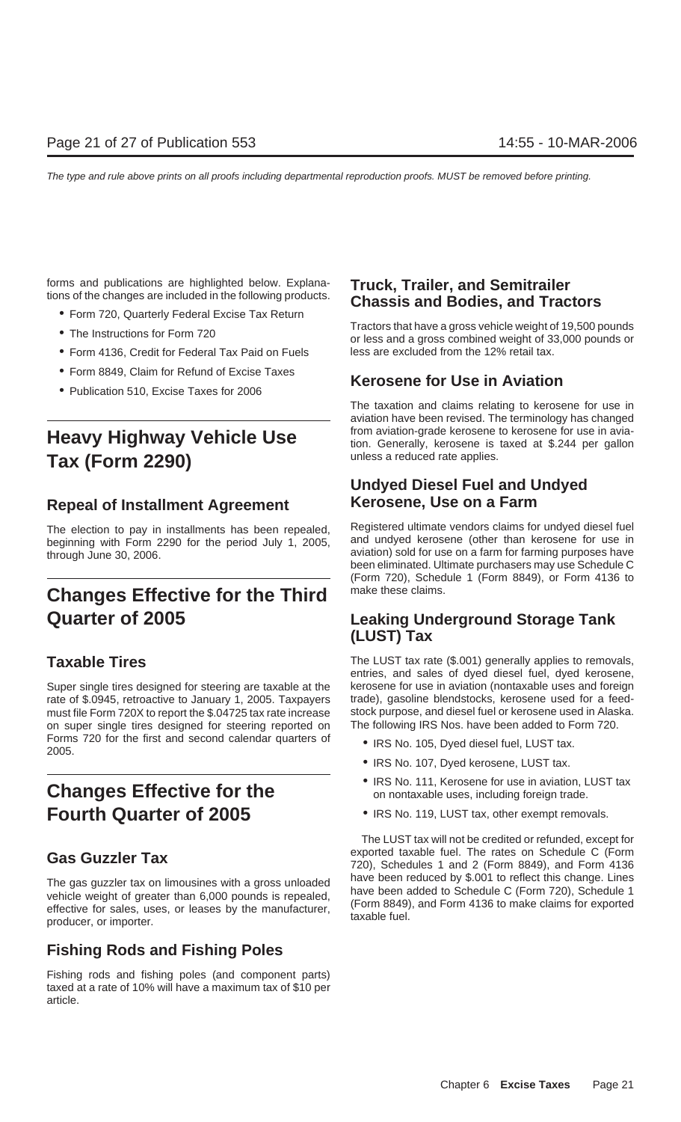- 
- 
- Form 4136, Credit for Federal Tax Paid on Fuels less are excluded from the 12% retail tax.
- 
- 

# unless a reduced rate applies. **Tax (Form 2290)**

## **Repeal of Installment Agreement Kerosene, Use on a Farm**

beginning with Form 2290 for the period July 1, 2005, through June 30, 2006. **A contract the Contract of Contract and Southern** aviation) sold for use on a farm for farming purposes have

## **Changes Effective for the Third** make these claims. **Quarter of 2005 Leaking Underground Storage Tank**

Super single tires designed for steering are taxable at the kerosene for use in aviation (nontaxable uses and foreign<br>rate of \$.0945, retroactive to January 1, 2005. Taxpayers trade), gasoline blendstocks, kerosene used fo rate of \$.0945, retroactive to January 1, 2005. Taxpayers must file Form 720X to report the \$.04725 tax rate increase stock purpose, and diesel fuel or kerosene used in Alaska. on super single tires designed for steering reported on The following IRS Nos. have been added to Form 720. Forms 720 for the first and second calendar quarters of  $\bullet$  IRS No. 105, Dyed diesel fuel, LUST tax. 2005.

## **Fourth Quarter of 2005** • IRS No. 119, LUST tax, other exempt removals.

The gas guzzler tax on limousines with a gross unloaded<br>vehicle weight of greater than 6,000 pounds is repealed,<br>effective for sales, uses, or leases by the manufacturer,<br>producer, or importer.<br>producer, or importer.

## **Fishing Rods and Fishing Poles**

Fishing rods and fishing poles (and component parts) taxed at a rate of 10% will have a maximum tax of \$10 per article.

# forms and publications are highlighted below. Explana-<br>tions of the changes are included in the following products.<br>• Form 720, Quarterly Federal Excise Tax Return<br>Tractors that have a gross vehicle weight of 19,500 pounds

• The Instructions for Form 720 **Fractions instructions or less and a gross combined weight of 33,000 pounds or** 

## • Form 8849, Claim for Refund of Excise Taxes **Kerosene for Use in Aviation** • Publication 510, Excise Taxes for 2006

The taxation and claims relating to kerosene for use in aviation have been revised. The terminology has changed **Heavy Highway Vehicle Use the maxilion-grade kerosene to kerosene for use in avia-** tion. Generally, kerosene is taxed at \$.244 per gallon

## **Undyed Diesel Fuel and Undyed**

The election to pay in installments has been repealed, Registered ultimate vendors claims for undyed diesel fuel<br>heginning with Form 2290 for the period luly 1, 2005 and undyed kerosene (other than kerosene for use in been eliminated. Ultimate purchasers may use Schedule C (Form 720), Schedule 1 (Form 8849), or Form 4136 to

## **(LUST) Tax**

**Taxable Tires** The LUST tax rate (\$.001) generally applies to removals, entries, and sales of dyed diesel fuel, dyed kerosene,

- 
- IRS No. 107, Dyed kerosene, LUST tax.
- **Changes Effective for the Changes III Changes** Effective **for the on nontaxable uses, including foreign trade.** 
	-

The LUST tax will not be credited or refunded, except for exported taxable fuel. The rates on Schedule C (Form **Gas Guzzler Tax** 720), Schedules 1 and 2 (Form 8849), and Form 4136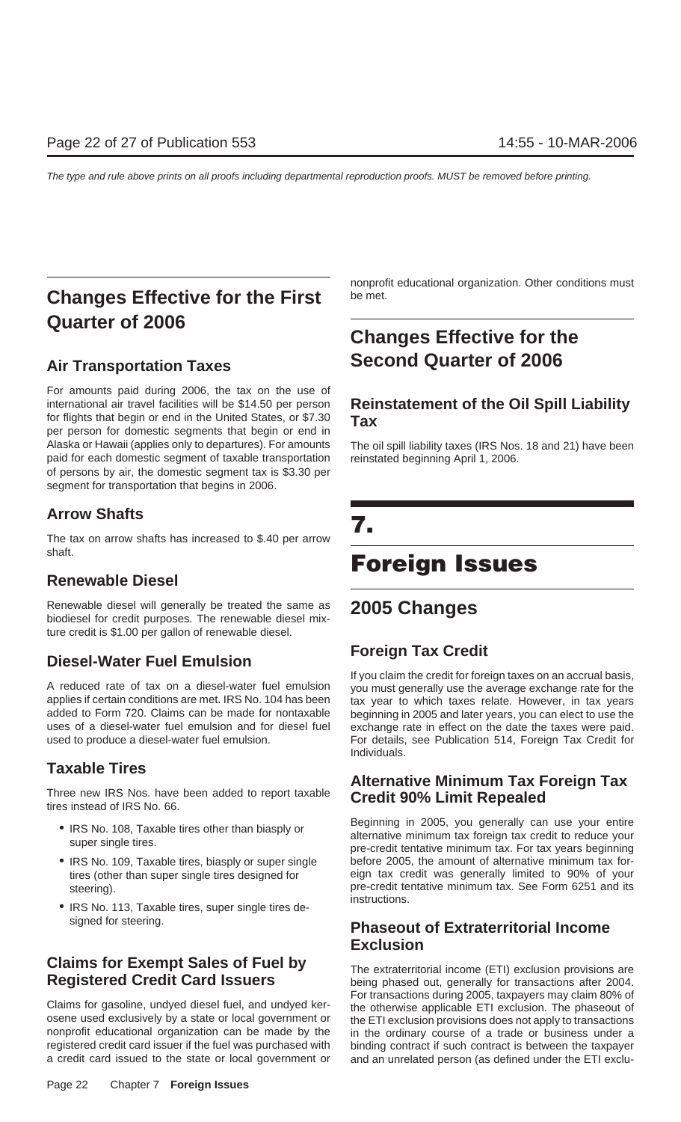## **Changes Effective for the First** be met. **Quarter of 2006**

For amounts paid during 2006, the tax on the use of international air travel facilities will be \$14.50 per person **Reinstatement of the Oil Spill Liability** for flights that begin or end in the United States, or \$7.30 **Tax** per person for domestic segments that begin or end in Alaska or Hawaii (applies only to departures). For amounts The oil spill liability taxes (IRS Nos. 18 and 21) have been paid for each domestic segment of taxable transportation reinstated beginning April 1, 2006. of persons by air, the domestic segment tax is \$3.30 per segment for transportation that begins in 2006.

**Arrow Shafts 7.** The tax on arrow shafts has increased to \$.40 per arrow shaft. **Foreign Issues Renewable Diesel**

Renewable diesel will generally be treated the same as **2005 Changes** biodiesel for credit purposes. The renewable diesel mixture credit is \$1.00 per gallon of renewable diesel.

## **Foreign Tax Credit**<br>If you claim the credit for foreign taxes on an accrual basis,

A reduced rate of tax on a diesel-water fuel emulsion you must generally use the average exchange rate for the<br>applies if certain conditions are met. IRS No. 104 has been tax year to which taxes relate. However, in tax yea applies if certain conditions are met. IRS No. 104 has been tax year to which taxes relate. However, in tax years<br>added to Form 720. Claims can be made for nontaxable beginning in 2005 and later years, you can elect to use uses of a diesel-water fuel emulsion and for diesel fuel exchange rate in effect on the date the taxes were paid. used to produce a diesel-water fuel emulsion. For details, see Publication 514, Foreign Tax Credit for

## **Taxable Tires**

- 
- 
- IRS No. 113, Taxable tires, super single tires de-

## **Claims for Exempt Sales of Fuel by**<br>**Registered Credit Card Issuers** being phased out, generally for transactions after 2004.

osene used exclusively by a state or local government or the ETI exclusion provisions does not apply to transactions<br>nonprofit educational organization can be made by the in the ordinary course of a trade or business under registered credit card issuer if the fuel was purchased with binding contract if such contract is between the taxpayer a credit card issued to the state or local government or and an unrelated person (as defined under the ETI exclu-

nonprofit educational organization. Other conditions must

## **Changes Effective for the Air Transportation Taxes Second Quarter of 2006**

beginning in 2005 and later years, you can elect to use the Individuals.

## **Alternative Minimum Tax Foreign Tax**<br>tires instead of IRS No. 66.<br>**Credit 90% Limit Repealed**

• IRS No. 108, Taxable tires other than biasply or<br>super single tires.<br>pre-credit tentative minimum tax foreign tax credit to reduce your<br>pre-credit tentative minimum tax. For tax years beginning • IRS No. 109, Taxable tires, biasply or super single before 2005, the amount of alternative minimum tax fortires (other than super single tires designed for eign tax credit was generally limited to 90% of your steering). bree-credit tentative minimum tax. See Form 6251 and its<br>instructions.

## signed for steering. **Phaseout of Extraterritorial Income Exclusion**

being phased out, generally for transactions after 2004. For transactions during 2005, taxpayers may claim 80% of<br>Claims for gasoline, undyed diesel fuel, and undyed ker-<br>osene used exclusively by a state or local government or the ETI exclusion provisions does not apply to tran in the ordinary course of a trade or business under a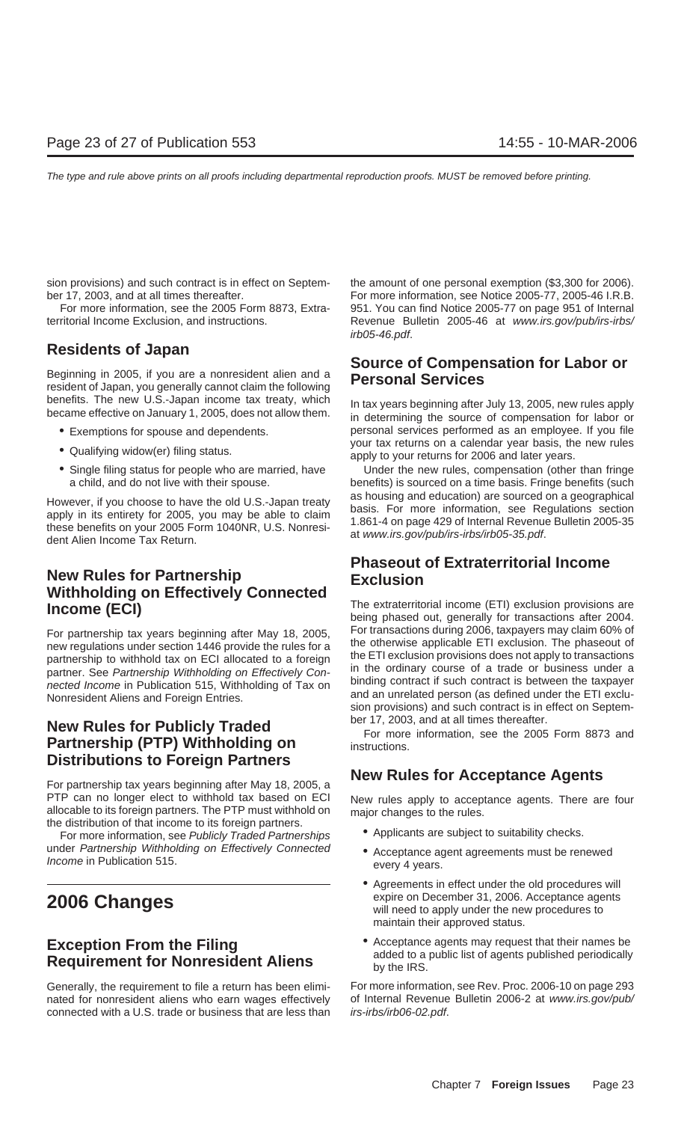sion provisions) and such contract is in effect on Septem-<br>the amount of one personal exemption (\$3,300 for 2006). ber 17, 2003, and at all times thereafter. For more information, see Notice 2005-77, 2005-46 I.R.B.

benefits. The new U.S.-Japan income tax treaty, which<br>became effective on January 1, 2005, does not allow them. in determining the source of compensation for labor or

- 
- 
- 

## **New Rules for Partnership Exclusion Withholding on Effectively Connected**<br>Income (ETI) exclusion provisions are<br>being phased out, generally for transactions after 2004.

nected Income in Publication 515, Withholding of Tax on and an unrelated person (as defined under the ETI exclu-<br>- and an unrelated person (as defined under the ETI exclu-

## **New Rules for Publicly Traded Exercise For more information, see the 2005 Form 8873 and <b>Partnership (PTP) Withholding on instructions.** For more information, see the 2005 Form 8873 and **Distributions to Foreign Partners**

PTP can no longer elect to withhold tax based on ECI New rules apply to acceptance agents. There are four allocable to its foreign partners. The PTP must withhold on the distribution of that income to its foreign partners.

For more information, see Publicly Traded Partnerships under Partnership Withholding on Effectively Connected • Acceptance agent agreements must be renewed *Income* in Publication 515.

## **Requirement for Nonresident Aliens** by the IRS.

Generally, the requirement to file a return has been elimi- For more information, see Rev. Proc. 2006-10 on page 293 nated for nonresident aliens who earn wages effectively of Internal Revenue Bulletin 2006-2 at www.irs.gov/pub/ connected with a U.S. trade or business that are less than irs-irbs/irb06-02.pdf.

For more information, see the 2005 Form 8873, Extra- 951. You can find Notice 2005-77 on page 951 of Internal territorial Income Exclusion, and instructions. Revenue Bulletin 2005-46 at www.irs.gov/pub/irs-irbs/ irb05-46.pdf.

# **Residents of Japan**<br>**Beginning in 2005, if you are a nonresident alien and a Personal Services** resident of Japan, you generally cannot claim the following

• Exemptions for spouse and dependents. personal services performed as an employee. If you file • Qualifying widow(er) filing status. <br>
• Qualifying widow(er) filing status. <br>
apply to your returns for 2006 and later years.

• Single filing status for people who are married, have Under the new rules, compensation (other than fringe a child, and do not live with their spouse. benefits) is sourced on a time basis. Fringe benefits (such However, if you choose to have the old U.S.-Japan treaty<br>apply in its entirety for 2005, you may be able to claim<br>these benefits on your 2005 Form 1040NR, U.S. Nonresi-<br>dent Alien Income Tax Return.<br>dent Alien Income Tax R

## **Phaseout of Extraterritorial Income**

For partnership tax years beginning after May 18, 2005,<br>
new regulations under section 1446 provide the rules for a<br>
partnership to withhold tax on ECI allocated to a foreign<br>
partner. See Partnership Withholding on Effect sion provisions) and such contract is in effect on Septem-

## **New Rules for Acceptance Agents** For partnership tax years beginning after May 18, 2005, a

- 
- 
- Agreements in effect under the old procedures will **2006 Changes** expire on December 31, 2006. Acceptance agents will need to apply under the new procedures to maintain their approved status.
- **Exception From the Filing**<br> **Exception From the Filing**<br> **Exception From the Filing**<br> **Exception From the Filing**<br> **Acceptance agents may request that their names be**<br>
added to a public list of agents published periodical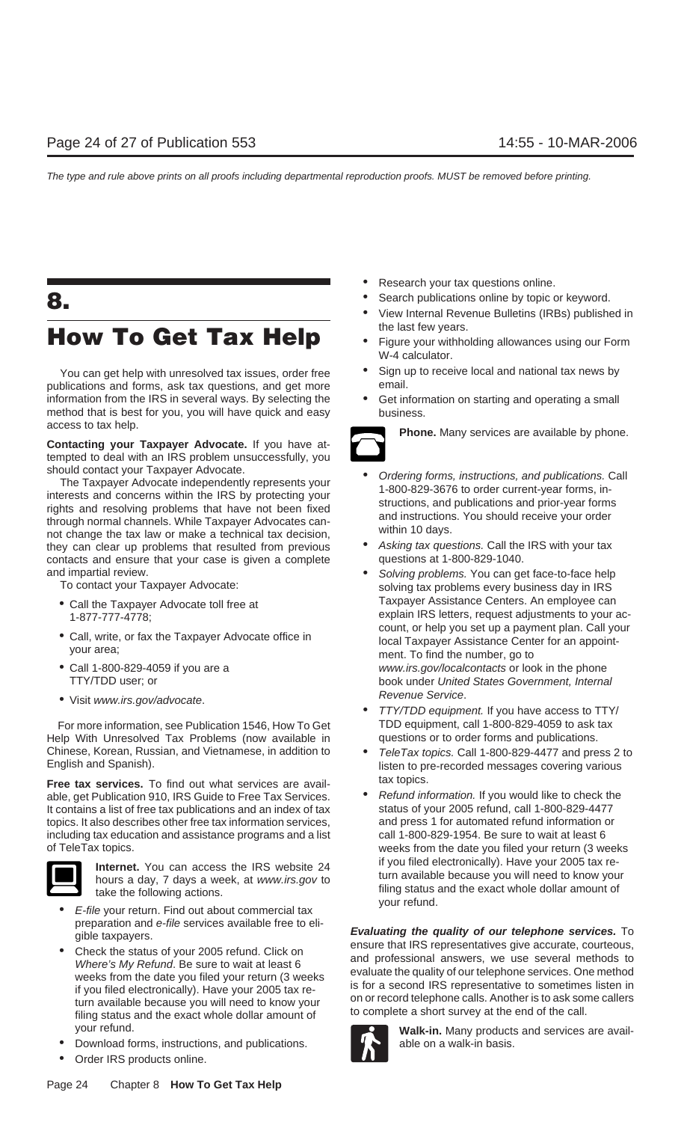## **How To Get Tax Help** • Figure your withholding allowances using our Form

publications and forms, ask tax questions, and get more information from the IRS in several ways. By selecting the • Get information on starting and operating a small method that is best for you, you will have quick and easy business. access to tax help. **Phone.** Many services are available by phone.

**Contacting your Taxpayer Advocate.** If you have attempted to deal with an IRS problem unsuccessfully, you

Should contact your Taxpayer Advocate.<br>
The Taxpayer Advocate independently represents your<br>
interests and concerns within the IRS by protecting your<br>
rights and resolving problems that have not been fixed<br>
through normal not change the tax law or make a technical tax decision,<br>they can clear up problems that resulted from previous <br>contacts and ensure that your case is given a complete<br>questions at 1-800-829-1040. contacts and ensure that your case is given a complete

- 
- 
- 
- 

For more information, see Publication 1546, How To Get TDD equipment, call 1-800-829-4059 to ask tax<br>Ho With Unresolved Tax Problems (now available in guestions or to order forms and publications. Help With Unresolved Tax Problems (now available in Chinese, Korean, Russian, and Vietnamese, in addition to **•** *TeleTax topics.* Call 1-800-829-4477 and press 2 to English and Spanish).

**Free tax services.** To find out what services are avail-<br>able, get Publication 910, IRS Guide to Free Tax Services. <br>**•** Refund information. If you would like to check the able, get Publication 910, IRS Guide to Free Tax Services. • Refund information. If you would like to check the<br>It contains a list of free tax publications and an index of tax status of your 2005 refund, call 1-800-829-447 It contains a list of free tax publications and an index of tax topics. It also describes other free tax information services, and press 1 for automated refund information or including tax education and assistance programs and a list call 1-800-829-1954. Be sure to wait at least 6 of TeleTax topics. weeks from the date you filed your return (3 weeks



filing status and take the following actions.<br>• E-file your return. Find out about commercial tax your refund.

- 
- your refund. **Walk-in.** Many products and services are avail-
- Download forms, instructions, and publications.  $\blacksquare$  able on a walk-in basis.
- Order IRS products online.
- Research your tax questions online.
- **8. •** Search publications online by topic or keyword.
	- View Internal Revenue Bulletins (IRBs) published in
	- W-4 calculator.
	- You can get help with unresolved tax issues, order free  $\bullet$  Sign up to receive local and national tax news by<br>blications and forms, ask tax questions, and get more email.
		-



- 
- 
- and impartial review.<br>To contact your Taxpayer Advocate:<br>Review and the solving tax problems every business day in IRS solving tax problems every business day in IRS • Call the Taxpayer Advocate toll free at **Faxill Content Centers.** An employee can 1-877-777-4778;<br>count, or help you set up a payment plan. Call your ac-<br>count, or help you set up a payment plan. Call your • Call, write, or fax the Taxpayer Advocate office in local Taxpayer Assistance Center for an appoint-<br>your area; ment. To find the number, go to • Call 1-800-829-4059 if you are a www.irs.gov/localcontacts or look in the phone TTY/TDD user; or **book under United States Government, Internal** 
	- Revenue Service. Visit www.irs.gov/advocate. TTY/TDD equipment. If you have access to TTY/
		- listen to pre-recorded messages covering various
		- Internet. You can access the IRS website 24 if you filed electronically). Have your 2005 tax re-<br>hours a day 7 days a week at www.irs.cov.to turn available because you will need to know your hours a day, 7 days a week, at www.irs.gov to<br>take the following actions

For proposition and e-file services available free to eli-<br>
Social sphere is available free to eli-<br>
Check the status of your 2005 refund. Click on<br>
Where's My Refund. Be sure to wait at least 6<br>
weeks from the date you fi

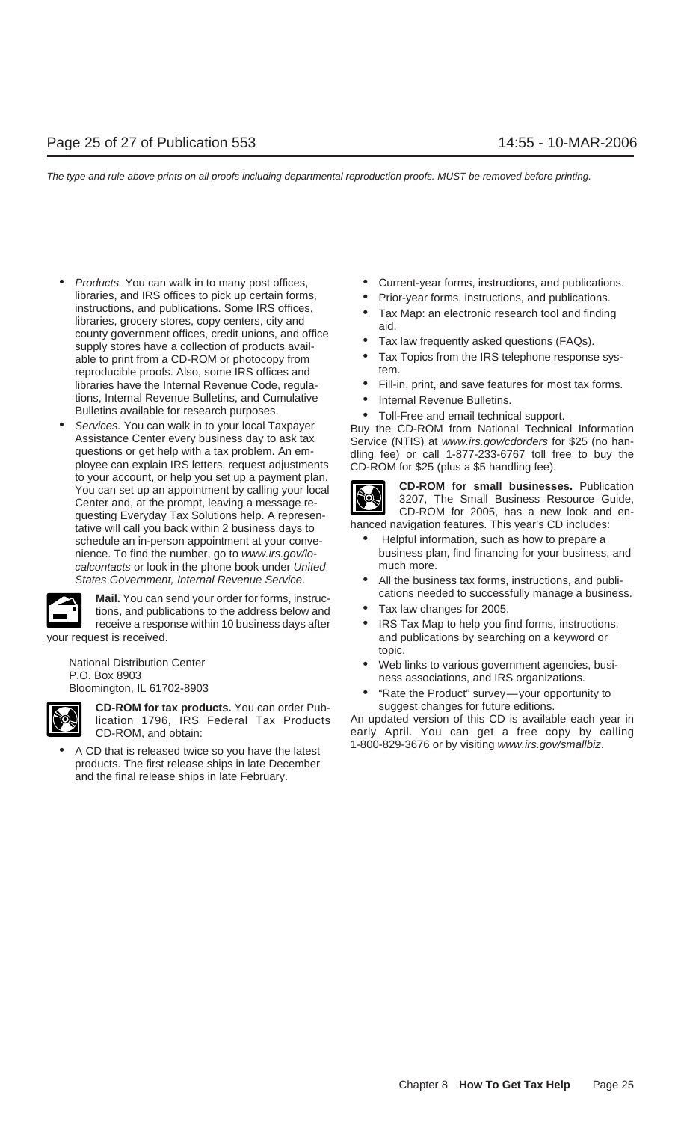- Products. You can walk in to many post offices, Current-year forms, instructions, and publications. libraries, and IRS offices to pick up certain forms,<br>
instructions, and publications. Some IRS offices,<br>
libraries, grocery stores, copy centers, city and<br>
county government offices, credit unions, and office<br>
supply store supply stores have a collection of products avail-<br>able to print from a CD-ROM or photocopy from  $\bullet$  Tax Topics from the IRS telephone response sys-<br>reproducible proofs. Also, some IRS offices and tem. reproducible proofs. Also, some IRS offices and tions, Internal Revenue Bulletins, and Cumulative **•** Internal Revenue Bulletins.<br>Bulletins available for research purposes.
- Bulletins available for research purposes.<br>
 Toll-Free and email technical support.<br>
Services. You can walk in to your local Taxpayer<br>
Assistance Center every business day to ask tax<br>
questions or get help with a tax prob You can set up an appointment by calling your local<br>Center and, at the prompt, leaving a message re-<br>questing Evenyday Tax Solutions belo. A represention of the Small Business Resource Guide,<br>CD-ROM for 2005, has a new loo questing Everyday Tax Solutions help. A represen-<br>tative will call you back within 2 business days to hanced navigation features. This year's CD includes:<br>schedule an in-person appointment at your conve-<br>e Helpful informat schedule an in-person appointment at your convecalcontacts or look in the phone book under United much more.

**Mail.** You can send your order for forms, instruc-<br> **Mail.** You can send your order for forms, instruc-<br> **•** Tax law changes for 2005.



**CD-ROM for tax products.** You can order Pub- suggest changes for future editions.

■ A CD that is released twice so you have the latest and the 1-800-829-3676 or by visiting www.irs.gov/smallbiz. products. The first release ships in late December and the final release ships in late February.

- 
- 
- 
- 
- 
- libraries have the Internal Revenue Code, regula- Fill-in, print, and save features for most tax forms.
	-
	-



- nience. To find the number, go to www.irs.gov/lo- business plan, find financing for your business, and
- States Government, Internal Revenue Service. • All the business tax forms, instructions, and publi-
	-
- receive a response within 10 business days after  $\bullet$  IRS Tax Map to help you find forms, instructions, your request is received. and publications by searching on a keyword or topic.
	- National Distribution Center Net are the Web links to various government agencies, busi-<br>P.O. Box 8903 ness associations, and IRS organizations.<br>Bloomington, IL 61702-8903 "Rate the Product" survey—your opportunity to
		-

lication 1796, IRS Federal Tax Products An updated version of this CD is available each year in CD-ROM, and obtain: early April. You can get a free copy by calling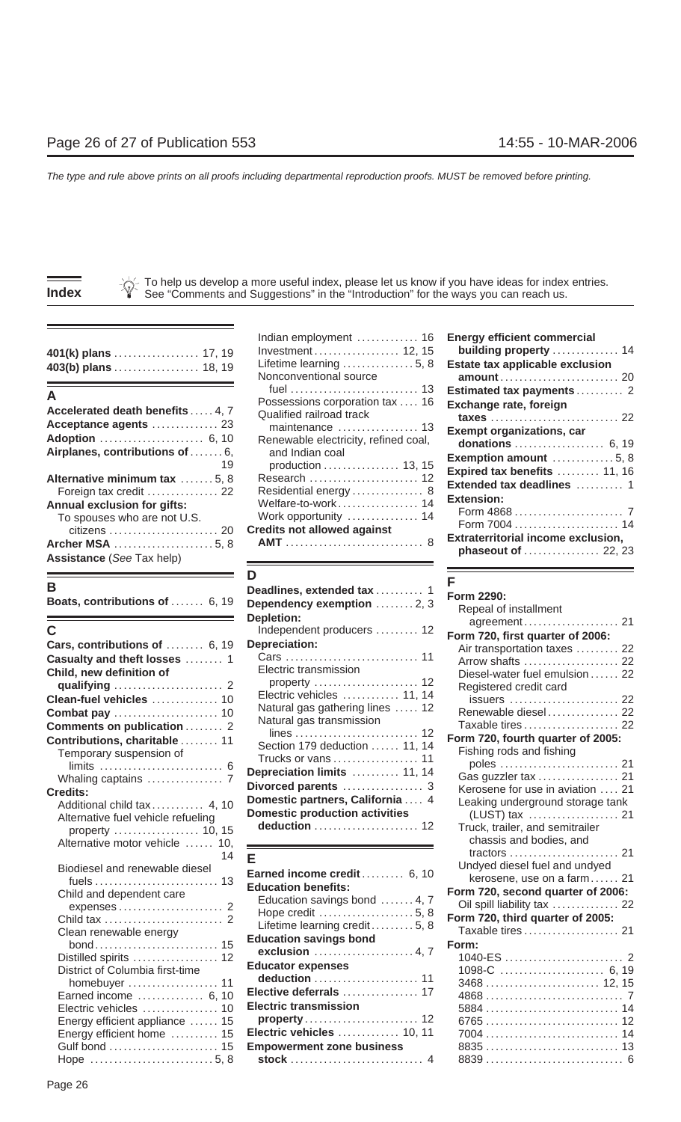| .<br>Investment 12, 15 building property  14 |           |    |
|----------------------------------------------|-----------|----|
| Nanoonyontional opiuso                       |           | ∩∩ |
|                                              | --------- |    |

| production  13, 15<br>Alternative minimum tax 5, 8<br>Residential energy 8<br>Foreign tax credit  22<br>Extension:<br>Welfare-to-work 14<br>Annual exclusion for gifts:<br>Work opportunity  14<br>To spouses who are not U.S.<br><b>Credits not allowed against</b><br>citizens  20<br><b>Assistance (See Tax help)</b> | Accelerated death benefits  4, 7<br>Acceptance agents  23<br>Airplanes, contributions of  6, | POSSESSIONS COIDORNION RELEASE TO<br>Qualified railroad track<br>maintenance  13<br>Renewable electricity, refined coal,<br>and Indian coal | Exchange rate, foreign<br><b>Exempt organizations, car</b><br>donations  6, 19<br>Exemption amount  5, 8                                       |
|--------------------------------------------------------------------------------------------------------------------------------------------------------------------------------------------------------------------------------------------------------------------------------------------------------------------------|----------------------------------------------------------------------------------------------|---------------------------------------------------------------------------------------------------------------------------------------------|------------------------------------------------------------------------------------------------------------------------------------------------|
|                                                                                                                                                                                                                                                                                                                          |                                                                                              |                                                                                                                                             | Expired tax benefits  11, 16<br>Extended tax deadlines  1<br>Form 7004  14<br><b>Extraterritorial income exclusion,</b><br>phaseout of  22, 23 |
|                                                                                                                                                                                                                                                                                                                          |                                                                                              |                                                                                                                                             |                                                                                                                                                |

| Deadlines, extended tax  1<br>Dependency exemption  2, 3 | Form 2290:<br>Repeal of installment                                                                                                                                                                                                                                                                                                                                                                                                                                                                                                                                                                      |
|----------------------------------------------------------|----------------------------------------------------------------------------------------------------------------------------------------------------------------------------------------------------------------------------------------------------------------------------------------------------------------------------------------------------------------------------------------------------------------------------------------------------------------------------------------------------------------------------------------------------------------------------------------------------------|
|                                                          | agreement 21                                                                                                                                                                                                                                                                                                                                                                                                                                                                                                                                                                                             |
|                                                          | Form 720, first quarter of 2006:                                                                                                                                                                                                                                                                                                                                                                                                                                                                                                                                                                         |
|                                                          | Air transportation taxes  22                                                                                                                                                                                                                                                                                                                                                                                                                                                                                                                                                                             |
|                                                          | Arrow shafts  22                                                                                                                                                                                                                                                                                                                                                                                                                                                                                                                                                                                         |
|                                                          | Diesel-water fuel emulsion  22                                                                                                                                                                                                                                                                                                                                                                                                                                                                                                                                                                           |
|                                                          | Registered credit card<br>issuers  22                                                                                                                                                                                                                                                                                                                                                                                                                                                                                                                                                                    |
| Natural gas gathering lines  12                          | Renewable diesel 22                                                                                                                                                                                                                                                                                                                                                                                                                                                                                                                                                                                      |
| Natural gas transmission                                 | Taxable tires  22                                                                                                                                                                                                                                                                                                                                                                                                                                                                                                                                                                                        |
|                                                          | Form 720, fourth quarter of 2005:                                                                                                                                                                                                                                                                                                                                                                                                                                                                                                                                                                        |
|                                                          | Fishing rods and fishing                                                                                                                                                                                                                                                                                                                                                                                                                                                                                                                                                                                 |
|                                                          | poles  21                                                                                                                                                                                                                                                                                                                                                                                                                                                                                                                                                                                                |
|                                                          | Gas guzzler tax  21                                                                                                                                                                                                                                                                                                                                                                                                                                                                                                                                                                                      |
|                                                          | Kerosene for use in aviation  21                                                                                                                                                                                                                                                                                                                                                                                                                                                                                                                                                                         |
|                                                          | Leaking underground storage tank                                                                                                                                                                                                                                                                                                                                                                                                                                                                                                                                                                         |
|                                                          | (LUST) tax  21                                                                                                                                                                                                                                                                                                                                                                                                                                                                                                                                                                                           |
|                                                          | Truck, trailer, and semitrailer                                                                                                                                                                                                                                                                                                                                                                                                                                                                                                                                                                          |
|                                                          | chassis and bodies, and                                                                                                                                                                                                                                                                                                                                                                                                                                                                                                                                                                                  |
| E                                                        |                                                                                                                                                                                                                                                                                                                                                                                                                                                                                                                                                                                                          |
|                                                          | Undyed diesel fuel and undyed                                                                                                                                                                                                                                                                                                                                                                                                                                                                                                                                                                            |
|                                                          | kerosene, use on a farm 21                                                                                                                                                                                                                                                                                                                                                                                                                                                                                                                                                                               |
|                                                          | Form 720, second quarter of 2006:                                                                                                                                                                                                                                                                                                                                                                                                                                                                                                                                                                        |
|                                                          | Oil spill liability tax  22                                                                                                                                                                                                                                                                                                                                                                                                                                                                                                                                                                              |
|                                                          | Form 720, third quarter of 2005:                                                                                                                                                                                                                                                                                                                                                                                                                                                                                                                                                                         |
|                                                          | Taxable tires  21                                                                                                                                                                                                                                                                                                                                                                                                                                                                                                                                                                                        |
|                                                          | Form:                                                                                                                                                                                                                                                                                                                                                                                                                                                                                                                                                                                                    |
|                                                          | 1098-C  6, 19                                                                                                                                                                                                                                                                                                                                                                                                                                                                                                                                                                                            |
| deduction  11                                            |                                                                                                                                                                                                                                                                                                                                                                                                                                                                                                                                                                                                          |
|                                                          |                                                                                                                                                                                                                                                                                                                                                                                                                                                                                                                                                                                                          |
| <b>Electric transmission</b>                             |                                                                                                                                                                                                                                                                                                                                                                                                                                                                                                                                                                                                          |
|                                                          |                                                                                                                                                                                                                                                                                                                                                                                                                                                                                                                                                                                                          |
|                                                          |                                                                                                                                                                                                                                                                                                                                                                                                                                                                                                                                                                                                          |
| <b>Empowerment zone business</b>                         |                                                                                                                                                                                                                                                                                                                                                                                                                                                                                                                                                                                                          |
|                                                          |                                                                                                                                                                                                                                                                                                                                                                                                                                                                                                                                                                                                          |
|                                                          | <b>Depletion:</b><br>Independent producers  12<br><b>Depreciation:</b><br>Electric transmission<br>property  12<br>Electric vehicles  11, 14<br>Section 179 deduction  11, 14<br>Trucks or vans  11<br>Depreciation limits  11, 14<br>Divorced parents  3<br>Domestic partners, California  4<br><b>Domestic production activities</b><br>deduction  12<br>Earned income credit 6, 10<br><b>Education benefits:</b><br>Education savings bond  4, 7<br>Lifetime learning credit 5, 8<br><b>Education savings bond</b><br><b>Educator expenses</b><br>Elective deferrals  17<br>Electric vehicles  10, 11 |

| 401(k) plans  17, 19<br>403(b) plans  18, 19                                         | Indian employment  16<br>Investment 12, 15<br>Lifetime learning $\dots\dots\dots\dots5, 8$<br>Nonconventional source | <b>Energy efficient commercial</b><br>building property<br>Estate tax applicable exclus<br>amount  |
|--------------------------------------------------------------------------------------|----------------------------------------------------------------------------------------------------------------------|----------------------------------------------------------------------------------------------------|
| А<br>Accelerated death benefits  4, 7                                                | Possessions corporation tax  16<br>Qualified railroad track                                                          | Estimated tax payments<br>Exchange rate, foreign<br>$taxes$                                        |
| Acceptance agents  23<br>Adoption  6, 10<br>Airplanes, contributions of  6,<br>19    | Renewable electricity, refined coal,<br>and Indian coal<br>production  13, 15                                        | <b>Exempt organizations, car</b><br>donations<br>Exemption amount                                  |
| Alternative minimum tax  5, 8<br>Foreign tax credit  22                              | Research  12<br>Residential energy 8                                                                                 | Expired tax benefits<br>Extended tax deadlines                                                     |
| <b>Annual exclusion for gifts:</b><br>To spouses who are not U.S.<br>Archer MSA 5, 8 | Welfare-to-work 14<br>Work opportunity  14<br><b>Credits not allowed against</b>                                     | <b>Extension:</b><br>Form 4868<br>Form 7004<br><b>Extraterritorial income exclu</b><br>nhaseout of |

| В<br>Boats, contributions of  6, 19                               | Deadlines, extended tax  1<br>Dependency exemption 2, 3                            | Form 2290:<br>Repeal of installment                                                   |
|-------------------------------------------------------------------|------------------------------------------------------------------------------------|---------------------------------------------------------------------------------------|
| С                                                                 | Depletion:<br>Independent producers  12                                            |                                                                                       |
| Cars, contributions of  6, 19                                     | Depreciation:                                                                      | Form 720, first quarter of 2006:<br>Air transportation taxes  22                      |
| Casualty and theft losses  1                                      |                                                                                    | Arrow shafts  22                                                                      |
| Child, new definition of                                          | Electric transmission<br>property  12                                              | Diesel-water fuel emulsion  22<br>Registered credit card                              |
| Clean-fuel vehicles  10                                           | Electric vehicles  11, 14                                                          | issuers  22                                                                           |
|                                                                   | Natural gas gathering lines  12                                                    | Renewable diesel 22                                                                   |
| Comments on publication  2                                        | Natural gas transmission                                                           | Taxable tires 22                                                                      |
| Contributions, charitable  11<br>Temporary suspension of          | Section 179 deduction  11, 14<br>Trucks or vans  11<br>Depreciation limits  11, 14 | Form 720, fourth quarter of 2005:<br>Fishing rods and fishing<br>Gas guzzler tax  21  |
| <b>Credits:</b>                                                   | Domestic partners, California  4                                                   | Kerosene for use in aviation  21                                                      |
| Additional child tax  4, 10<br>Alternative fuel vehicle refueling | <b>Domestic production activities</b>                                              | Leaking underground storage tank<br>(LUST) tax  21<br>Truck. trailer. and semitrailer |
| 10.15                                                             |                                                                                    |                                                                                       |

| Biodiesel and renewable diesel                           | Earned income credit 6, 10                  | Undved diesel fuel and undved     |
|----------------------------------------------------------|---------------------------------------------|-----------------------------------|
|                                                          | <b>Education benefits:</b>                  | kerosene, use on a farm 21        |
| Child and dependent care                                 | Education savings bond  4, 7                | Form 720, second quarter of 2006: |
|                                                          |                                             | Oil spill liability tax  22       |
|                                                          | Lifetime learning credit5, 8                | Form 720, third quarter of 2005:  |
| Clean renewable energy                                   | <b>Education savings bond</b>               | Taxable tires 21                  |
| Distilled spirits  12<br>District of Columbia first-time | exclusion  4, 7<br><b>Educator expenses</b> | Form:<br>1098-C  6, 19            |
| homebuyer  11                                            |                                             |                                   |
| Earned income  6, 10                                     | Elective deferrals  17                      |                                   |
| Electric vehicles  10                                    | <b>Electric transmission</b>                |                                   |
| Energy efficient appliance  15                           | $property \dots 12$                         |                                   |
| Energy efficient home  15                                | Electric vehicles  10, 11                   |                                   |
| Gulf bond  15                                            | <b>Empowerment zone business</b>            |                                   |
|                                                          |                                             |                                   |

| 401(k) plans  17, 19<br>403(b) plans  18, 19                                                                                                                                | Indian employment  16<br>Investment 12, 15<br>Lifetime learning  5, 8<br>Nonconventional source                                                                 | <b>Energy efficient commercial</b><br>building property  14<br>Estate tax applicable exclusion                                                               |
|-----------------------------------------------------------------------------------------------------------------------------------------------------------------------------|-----------------------------------------------------------------------------------------------------------------------------------------------------------------|--------------------------------------------------------------------------------------------------------------------------------------------------------------|
| А<br>Accelerated death benefits  4, 7<br>Acceptance agents  23<br>Adoption  6, 10<br>Airplanes, contributions of  6,<br>19                                                  | Possessions corporation tax  16<br>Qualified railroad track<br>maintenance  13<br>Renewable electricity, refined coal,<br>and Indian coal<br>production  13, 15 | Estimated tax payments  2<br>Exchange rate, foreign<br><b>Exempt organizations, car</b><br>donations  6, 19<br>Exemption amount  5, 8                        |
| Alternative minimum tax 5, 8<br>Foreign tax credit  22<br><b>Annual exclusion for gifts:</b><br>To spouses who are not U.S.<br>Archer MSA 5, 8<br>Assistance (See Tay help) | Research  12<br>Residential energy 8<br>Welfare-to-work 14<br>Work opportunity  14<br><b>Credits not allowed against</b>                                        | Expired tax benefits  11, 16<br>Extended tax deadlines  1<br>Extension:<br>Form 7004  14<br><b>Extraterritorial income exclusion,</b><br>phaseout of  22, 23 |

|                                                          | <b>Deadlines, extended tax</b> 1      | Form 2290:                        |
|----------------------------------------------------------|---------------------------------------|-----------------------------------|
| bats, contributions of  6, 19                            | Dependency exemption 2, 3             | Repeal of installment             |
|                                                          | <b>Depletion:</b>                     |                                   |
|                                                          | Independent producers  12             | Form 720, first quarter of 2006:  |
| ars, contributions of $\,\dots\ldots\,$ 6, 19            | Depreciation:                         | Air transportation taxes  22      |
| <b>asualty and theft losses</b> 1                        |                                       | Arrow shafts  22                  |
| hild, new definition of                                  | Electric transmission                 | Diesel-water fuel emulsion  22    |
| qualifying  2                                            | property  12                          | Registered credit card            |
| ean-fuel vehicles  10                                    | Electric vehicles  11, 14             | issuers  22                       |
| <b>ombat pay</b> 10                                      | Natural gas gathering lines  12       | Renewable diesel 22               |
| omments on publication  2                                | Natural gas transmission              | Taxable tires 22                  |
| ontributions, charitable  11                             |                                       | Form 720, fourth quarter of 2005: |
| Temporary suspension of                                  | Section 179 deduction  11, 14         | Fishing rods and fishing          |
|                                                          | Trucks or vans  11                    |                                   |
| Whaling captains  7                                      | Depreciation limits  11, 14           | Gas guzzler tax  21               |
| edits:                                                   |                                       | Kerosene for use in aviation  21  |
| Additional child tax 4, 10                               | Domestic partners, California  4      | Leaking underground storage tank  |
| Alternative fuel vehicle refueling                       | <b>Domestic production activities</b> |                                   |
|                                                          | deduction  12                         | Truck, trailer, and semitrailer   |
| Alternative motor vehicle  10,                           |                                       | chassis and bodies, and           |
| 14                                                       | Е                                     |                                   |
| Biodiesel and renewable diesel                           | Earned income credit 6, 10            | Undyed diesel fuel and undyed     |
|                                                          | <b>Education benefits:</b>            | kerosene, use on a farm 21        |
| Child and dependent care                                 | Education savings bond  4, 7          | Form 720, second quarter of 2006: |
|                                                          |                                       | Oil spill liability tax  22       |
|                                                          | Lifetime learning credit  5, 8        | Form 720, third quarter of 2005:  |
| Clean renewable energy                                   | <b>Education savings bond</b>         | Taxable tires 21                  |
|                                                          |                                       | Form:                             |
| Distilled spirits  12<br>District of Columbia first-time | <b>Educator expenses</b>              |                                   |
| homebuyer  11                                            | deduction  11                         |                                   |
| Earned income  6, 10                                     | Elective deferrals  17                |                                   |
| Electric vehicles  10                                    | <b>Electric transmission</b>          |                                   |
| Energy efficient appliance  15                           |                                       |                                   |
| Energy efficient home  15                                | Electric vehicles  10, 11             |                                   |
|                                                          | <b>Empowerment zone business</b>      |                                   |
| Hope 5,8                                                 |                                       |                                   |